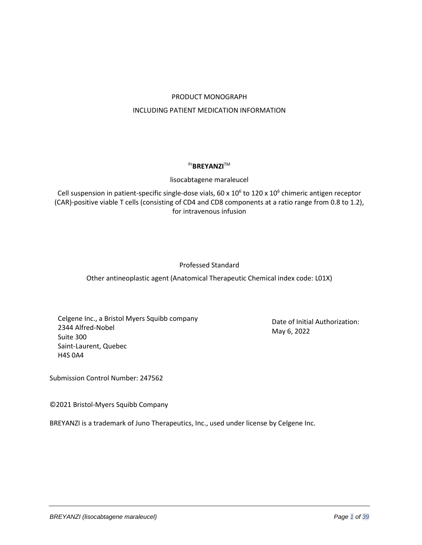# PRODUCT MONOGRAPH INCLUDING PATIENT MEDICATION INFORMATION

# Pr**BREYANZI™**

# lisocabtagene maraleucel

Cell suspension in patient-specific single-dose vials, 60 x  $10^6$  to  $120$  x  $10^6$  chimeric antigen receptor (CAR)-positive viable T cells (consisting of CD4 and CD8 components at a ratio range from 0.8 to 1.2), for intravenous infusion

# Professed Standard

Other antineoplastic agent (Anatomical Therapeutic Chemical index code: L01X)

Celgene Inc., a Bristol Myers Squibb company 2344 Alfred-Nobel Suite 300 Saint-Laurent, Quebec H4S 0A4

Date of Initial Authorization: May 6, 2022

Submission Control Number: 247562

©2021 Bristol-Myers Squibb Company

BREYANZI is a trademark of Juno Therapeutics, Inc., used under license by Celgene Inc.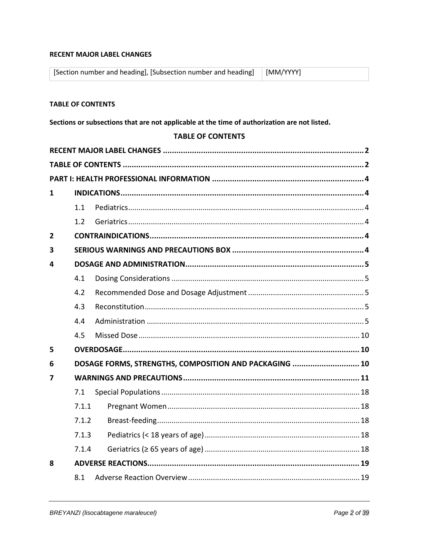# <span id="page-1-0"></span>**RECENT MAJOR LABEL CHANGES**

| [Section number and heading], [Subsection number and heading]   [MM/YYYY] |  |
|---------------------------------------------------------------------------|--|
|---------------------------------------------------------------------------|--|

# <span id="page-1-1"></span>**TABLE OF CONTENTS**

Sections or subsections that are not applicable at the time of authorization are not listed.

### **TABLE OF CONTENTS**

| 1              |       |                                                        |
|----------------|-------|--------------------------------------------------------|
|                | 1.1   |                                                        |
|                | 1.2   |                                                        |
| $\overline{2}$ |       |                                                        |
| 3              |       |                                                        |
| 4              |       |                                                        |
|                | 4.1   |                                                        |
|                | 4.2   |                                                        |
|                | 4.3   |                                                        |
|                | 4.4   |                                                        |
|                | 4.5   |                                                        |
| 5              |       |                                                        |
| 6              |       | DOSAGE FORMS, STRENGTHS, COMPOSITION AND PACKAGING  10 |
| 7              |       |                                                        |
|                | 7.1   |                                                        |
|                | 7.1.1 |                                                        |
|                | 7.1.2 |                                                        |
|                | 7.1.3 |                                                        |
|                | 7.1.4 |                                                        |
| 8              |       |                                                        |
|                | 8.1   |                                                        |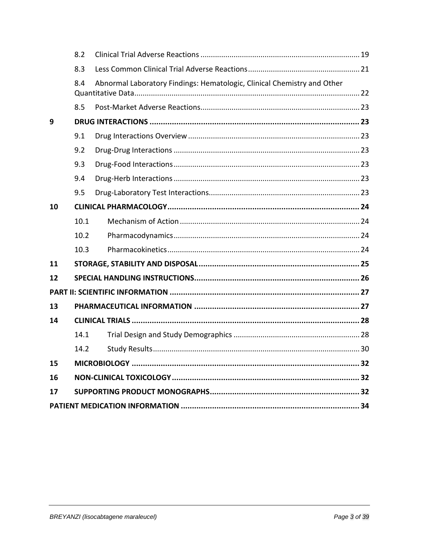|    | 8.2  |                                                                         |  |
|----|------|-------------------------------------------------------------------------|--|
|    | 8.3  |                                                                         |  |
|    | 8.4  | Abnormal Laboratory Findings: Hematologic, Clinical Chemistry and Other |  |
|    |      |                                                                         |  |
|    | 8.5  |                                                                         |  |
| 9  |      |                                                                         |  |
|    | 9.1  |                                                                         |  |
|    | 9.2  |                                                                         |  |
|    | 9.3  |                                                                         |  |
|    | 9.4  |                                                                         |  |
|    | 9.5  |                                                                         |  |
| 10 |      |                                                                         |  |
|    | 10.1 |                                                                         |  |
|    | 10.2 |                                                                         |  |
|    | 10.3 |                                                                         |  |
| 11 |      |                                                                         |  |
| 12 |      |                                                                         |  |
|    |      |                                                                         |  |
| 13 |      |                                                                         |  |
| 14 |      |                                                                         |  |
|    | 14.1 |                                                                         |  |
|    | 14.2 |                                                                         |  |
| 15 |      |                                                                         |  |
| 16 |      |                                                                         |  |
| 17 |      |                                                                         |  |
|    |      |                                                                         |  |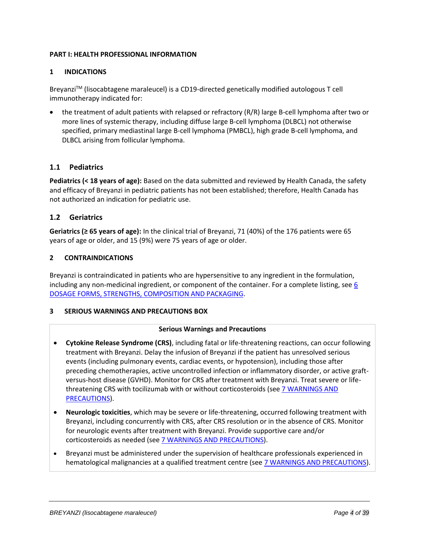### <span id="page-3-0"></span>**PART I: HEALTH PROFESSIONAL INFORMATION**

# <span id="page-3-1"></span>**1 INDICATIONS**

BreyanziTM (lisocabtagene maraleucel) is a CD19-directed genetically modified autologous T cell immunotherapy indicated for:

• the treatment of adult patients with relapsed or refractory (R/R) large B-cell lymphoma after two or more lines of systemic therapy, including diffuse large B-cell lymphoma (DLBCL) not otherwise specified, primary mediastinal large B-cell lymphoma (PMBCL), high grade B-cell lymphoma, and DLBCL arising from follicular lymphoma.

# <span id="page-3-2"></span>**1.1 Pediatrics**

**Pediatrics (< 18 years of age):** Based on the data submitted and reviewed by Health Canada, the safety and efficacy of Breyanzi in pediatric patients has not been established; therefore, Health Canada has not authorized an indication for pediatric use.

# <span id="page-3-3"></span>**1.2 Geriatrics**

**Geriatrics (≥ 65 years of age):** In the clinical trial of Breyanzi, 71 (40%) of the 176 patients were 65 years of age or older, and 15 (9%) were 75 years of age or older.

### <span id="page-3-4"></span>**2 CONTRAINDICATIONS**

Breyanzi is contraindicated in patients who are hypersensitive to any ingredient in the formulation, including any non-medicinal ingredient, or component of the container. For a complete listing, se[e 6](#page-9-2)  [DOSAGE FORMS, STRENGTHS, COMPOSITION AND PACKAGING.](#page-9-2)

### <span id="page-3-5"></span>**3 SERIOUS WARNINGS AND PRECAUTIONS BOX**

### **Serious Warnings and Precautions**

- **Cytokine Release Syndrome (CRS)**, including fatal or life-threatening reactions, can occur following treatment with Breyanzi. Delay the infusion of Breyanzi if the patient has unresolved serious events (including pulmonary events, cardiac events, or hypotension), including those after preceding chemotherapies, active uncontrolled infection or inflammatory disorder, or active graftversus-host disease (GVHD). Monitor for CRS after treatment with Breyanzi. Treat severe or lifethreatening CRS with tocilizumab with or without corticosteroids (see 7 WARNINGS AND [PRECAUTIONS\)](#page-10-0).
- **Neurologic toxicities**, which may be severe or life-threatening, occurred following treatment with Breyanzi, including concurrently with CRS, after CRS resolution or in the absence of CRS. Monitor for neurologic events after treatment with Breyanzi. Provide supportive care and/or corticosteroids as needed (see [7 WARNINGS AND PRECAUTIONS\)](#page-10-0).
- Breyanzi must be administered under the supervision of healthcare professionals experienced in hematological malignancies at a qualified treatment centre (see [7 WARNINGS AND PRECAUTIONS\)](#page-10-0).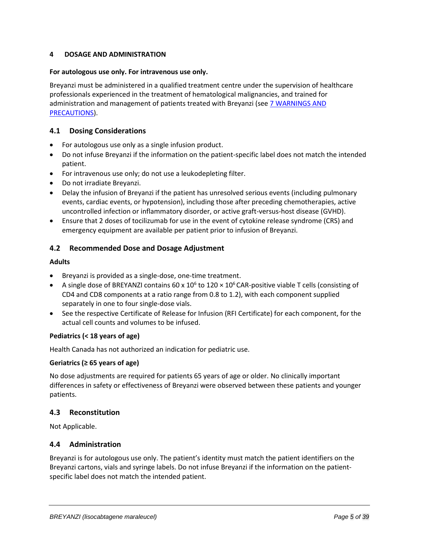# <span id="page-4-0"></span>**4 DOSAGE AND ADMINISTRATION**

#### **For autologous use only. For intravenous use only.**

Breyanzi must be administered in a qualified treatment centre under the supervision of healthcare professionals experienced in the treatment of hematological malignancies, and trained for administration and management of patients treated with Breyanzi (se[e 7 WARNINGS AND](#page-10-0)  [PRECAUTIONS\)](#page-10-0).

# <span id="page-4-1"></span>**4.1 Dosing Considerations**

- For autologous use only as a single infusion product.
- Do not infuse Breyanzi if the information on the patient-specific label does not match the intended patient.
- For intravenous use only; do not use a leukodepleting filter.
- Do not irradiate Breyanzi.
- Delay the infusion of Breyanzi if the patient has unresolved serious events (including pulmonary events, cardiac events, or hypotension), including those after preceding chemotherapies, active uncontrolled infection or inflammatory disorder, or active graft-versus-host disease (GVHD).
- Ensure that 2 doses of tocilizumab for use in the event of cytokine release syndrome (CRS) and emergency equipment are available per patient prior to infusion of Breyanzi.

# <span id="page-4-2"></span>**4.2 Recommended Dose and Dosage Adjustment**

#### **Adults**

- Breyanzi is provided as a single-dose, one-time treatment.
- A single dose of BREYANZI contains 60 x  $10^6$  to  $120 \times 10^6$  CAR-positive viable T cells (consisting of CD4 and CD8 components at a ratio range from 0.8 to 1.2), with each component supplied separately in one to four single-dose vials.
- See the respective Certificate of Release for Infusion (RFI Certificate) for each component, for the actual cell counts and volumes to be infused.

### **Pediatrics (< 18 years of age)**

Health Canada has not authorized an indication for pediatric use.

### **Geriatrics (≥ 65 years of age)**

No dose adjustments are required for patients 65 years of age or older. No clinically important differences in safety or effectiveness of Breyanzi were observed between these patients and younger patients.

### <span id="page-4-3"></span>**4.3 Reconstitution**

Not Applicable.

### <span id="page-4-4"></span>**4.4 Administration**

Breyanzi is for autologous use only. The patient's identity must match the patient identifiers on the Breyanzi cartons, vials and syringe labels. Do not infuse Breyanzi if the information on the patientspecific label does not match the intended patient.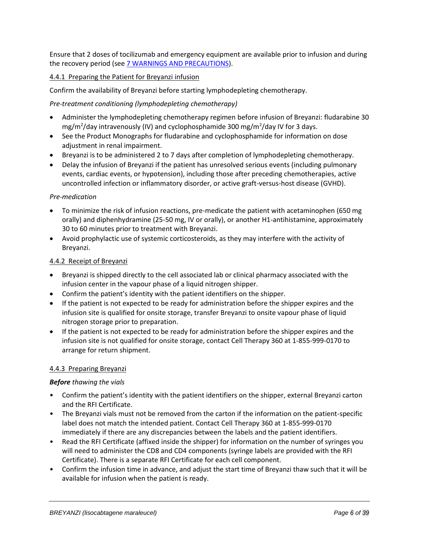Ensure that 2 doses of tocilizumab and emergency equipment are available prior to infusion and during the recovery period (se[e 7 WARNINGS AND PRECAUTIONS\)](#page-10-0).

# 4.4.1 Preparing the Patient for Breyanzi infusion

Confirm the availability of Breyanzi before starting lymphodepleting chemotherapy.

# *Pre-treatment conditioning (lymphodepleting chemotherapy)*

- Administer the lymphodepleting chemotherapy regimen before infusion of Breyanzi: fludarabine 30 mg/m<sup>2</sup>/day intravenously (IV) and cyclophosphamide 300 mg/m<sup>2</sup>/day IV for 3 days.
- See the Product Monographs for fludarabine and cyclophosphamide for information on dose adjustment in renal impairment.
- Breyanzi is to be administered 2 to 7 days after completion of lymphodepleting chemotherapy.
- Delay the infusion of Breyanzi if the patient has unresolved serious events (including pulmonary events, cardiac events, or hypotension), including those after preceding chemotherapies, active uncontrolled infection or inflammatory disorder, or active graft-versus-host disease (GVHD).

### *Pre-medication*

- To minimize the risk of infusion reactions, pre-medicate the patient with acetaminophen (650 mg orally) and diphenhydramine (25-50 mg, IV or orally), or another H1-antihistamine, approximately 30 to 60 minutes prior to treatment with Breyanzi.
- Avoid prophylactic use of systemic corticosteroids, as they may interfere with the activity of Breyanzi.

### 4.4.2 Receipt of Breyanzi

- Breyanzi is shipped directly to the cell associated lab or clinical pharmacy associated with the infusion center in the vapour phase of a liquid nitrogen shipper.
- Confirm the patient's identity with the patient identifiers on the shipper.
- If the patient is not expected to be ready for administration before the shipper expires and the infusion site is qualified for onsite storage, transfer Breyanzi to onsite vapour phase of liquid nitrogen storage prior to preparation.
- If the patient is not expected to be ready for administration before the shipper expires and the infusion site is not qualified for onsite storage, contact Cell Therapy 360 at 1-855-999-0170 to arrange for return shipment.

### 4.4.3 Preparing Breyanzi

### *Before thawing the vials*

- Confirm the patient's identity with the patient identifiers on the shipper, external Breyanzi carton and the RFI Certificate.
- The Breyanzi vials must not be removed from the carton if the information on the patient-specific label does not match the intended patient. Contact Cell Therapy 360 at 1-855-999-0170 immediately if there are any discrepancies between the labels and the patient identifiers.
- Read the RFI Certificate (affixed inside the shipper) for information on the number of syringes you will need to administer the CD8 and CD4 components (syringe labels are provided with the RFI Certificate). There is a separate RFI Certificate for each cell component.
- Confirm the infusion time in advance, and adjust the start time of Breyanzi thaw such that it will be available for infusion when the patient is ready.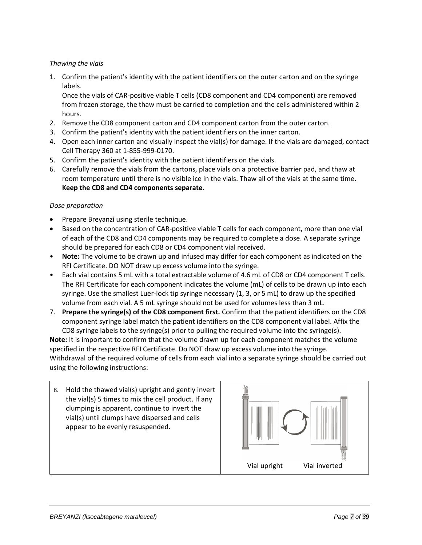# *Thawing the vials*

1. Confirm the patient's identity with the patient identifiers on the outer carton and on the syringe labels.

Once the vials of CAR-positive viable T cells (CD8 component and CD4 component) are removed from frozen storage, the thaw must be carried to completion and the cells administered within 2 hours.

- 2. Remove the CD8 component carton and CD4 component carton from the outer carton.
- 3. Confirm the patient's identity with the patient identifiers on the inner carton.
- 4. Open each inner carton and visually inspect the vial(s) for damage. If the vials are damaged, contact Cell Therapy 360 at 1-855-999-0170.
- 5. Confirm the patient's identity with the patient identifiers on the vials.
- 6. Carefully remove the vials from the cartons, place vials on a protective barrier pad, and thaw at room temperature until there is no visible ice in the vials. Thaw all of the vials at the same time. **Keep the CD8 and CD4 components separate**.

### *Dose preparation*

- Prepare Breyanzi using sterile technique.
- Based on the concentration of CAR-positive viable T cells for each component, more than one vial of each of the CD8 and CD4 components may be required to complete a dose. A separate syringe should be prepared for each CD8 or CD4 component vial received.
- **Note:** The volume to be drawn up and infused may differ for each component as indicated on the RFI Certificate. DO NOT draw up excess volume into the syringe.
- Each vial contains 5 mL with a total extractable volume of 4.6 mL of CD8 or CD4 component T cells. The RFI Certificate for each component indicates the volume (mL) of cells to be drawn up into each syringe. Use the smallest Luer-lock tip syringe necessary (1, 3, or 5 mL) to draw up the specified volume from each vial. A 5 mL syringe should not be used for volumes less than 3 mL.
- 7. **Prepare the syringe(s) of the CD8 component first.** Confirm that the patient identifiers on the CD8 component syringe label match the patient identifiers on the CD8 component vial label. Affix the CD8 syringe labels to the syringe(s) prior to pulling the required volume into the syringe(s).

**Note:** It is important to confirm that the volume drawn up for each component matches the volume specified in the respective RFI Certificate. Do NOT draw up excess volume into the syringe. Withdrawal of the required volume of cells from each vial into a separate syringe should be carried out using the following instructions:

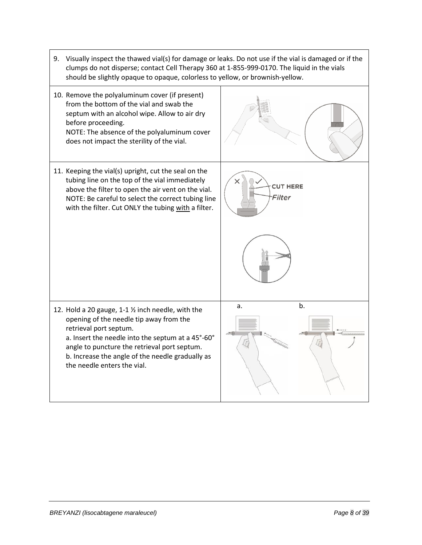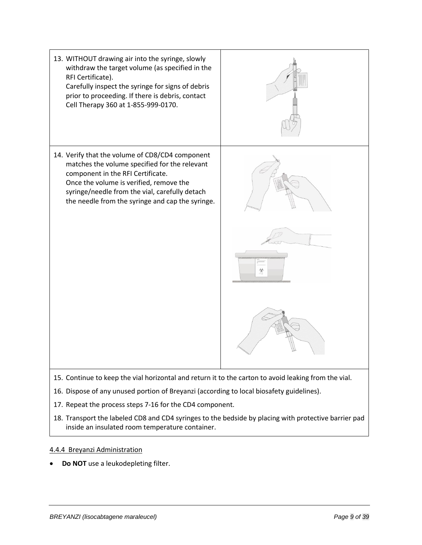

- 16. Dispose of any unused portion of Breyanzi (according to local biosafety guidelines).
- 17. Repeat the process steps 7-16 for the CD4 component.
- 18. Transport the labeled CD8 and CD4 syringes to the bedside by placing with protective barrier pad inside an insulated room temperature container.

# 4.4.4 Breyanzi Administration

**Do NOT** use a leukodepleting filter.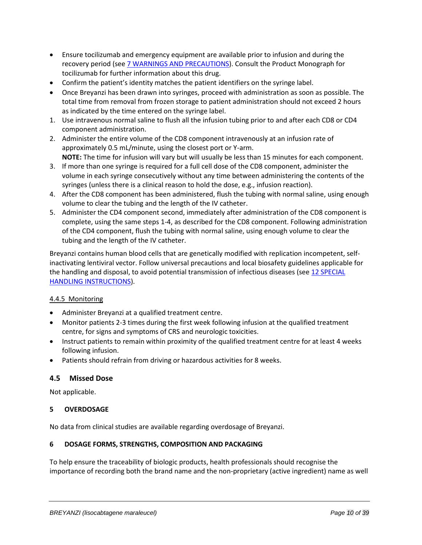- Ensure tocilizumab and emergency equipment are available prior to infusion and during the recovery period (see [7 WARNINGS AND PRECAUTIONS\)](#page-10-0). Consult the Product Monograph for tocilizumab for further information about this drug.
- Confirm the patient's identity matches the patient identifiers on the syringe label.
- Once Breyanzi has been drawn into syringes, proceed with administration as soon as possible. The total time from removal from frozen storage to patient administration should not exceed 2 hours as indicated by the time entered on the syringe label.
- 1. Use intravenous normal saline to flush all the infusion tubing prior to and after each CD8 or CD4 component administration.
- 2. Administer the entire volume of the CD8 component intravenously at an infusion rate of approximately 0.5 mL/minute, using the closest port or Y-arm. **NOTE:** The time for infusion will vary but will usually be less than 15 minutes for each component.
- 3. If more than one syringe is required for a full cell dose of the CD8 component, administer the volume in each syringe consecutively without any time between administering the contents of the syringes (unless there is a clinical reason to hold the dose, e.g., infusion reaction).
- 4. After the CD8 component has been administered, flush the tubing with normal saline, using enough volume to clear the tubing and the length of the IV catheter.
- 5. Administer the CD4 component second, immediately after administration of the CD8 component is complete, using the same steps 1-4, as described for the CD8 component. Following administration of the CD4 component, flush the tubing with normal saline, using enough volume to clear the tubing and the length of the IV catheter.

Breyanzi contains human blood cells that are genetically modified with replication incompetent, selfinactivating lentiviral vector. Follow universal precautions and local biosafety guidelines applicable for the handling and disposal, to avoid potential transmission of infectious diseases (see 12 SPECIAL [HANDLING INSTRUCTIONS\)](#page-25-0).

# 4.4.5 Monitoring

- Administer Breyanzi at a qualified treatment centre.
- Monitor patients 2-3 times during the first week following infusion at the qualified treatment centre, for signs and symptoms of CRS and neurologic toxicities.
- Instruct patients to remain within proximity of the qualified treatment centre for at least 4 weeks following infusion.
- <span id="page-9-0"></span>• Patients should refrain from driving or hazardous activities for 8 weeks.

# **4.5 Missed Dose**

Not applicable.

### <span id="page-9-1"></span>**5 OVERDOSAGE**

No data from clinical studies are available regarding overdosage of Breyanzi.

### <span id="page-9-2"></span>**6 DOSAGE FORMS, STRENGTHS, COMPOSITION AND PACKAGING**

To help ensure the traceability of biologic products, health professionals should recognise the importance of recording both the brand name and the non-proprietary (active ingredient) name as well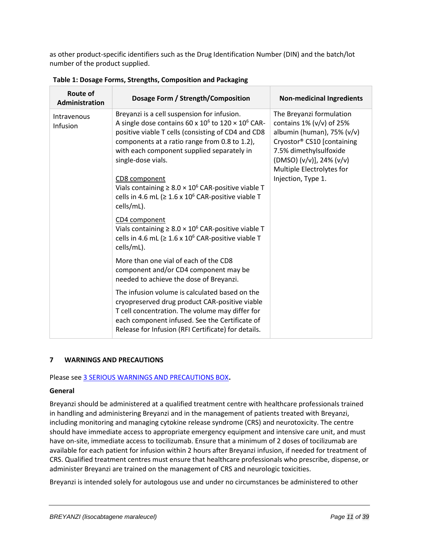as other product-specific identifiers such as the Drug Identification Number (DIN) and the batch/lot number of the product supplied.

| <b>Route of</b><br><b>Administration</b>                                                                                                                                                                                                                                                                                                                                                                                                                                            | Dosage Form / Strength/Composition                                                                                                                                                                                                                           | <b>Non-medicinal Ingredients</b> |
|-------------------------------------------------------------------------------------------------------------------------------------------------------------------------------------------------------------------------------------------------------------------------------------------------------------------------------------------------------------------------------------------------------------------------------------------------------------------------------------|--------------------------------------------------------------------------------------------------------------------------------------------------------------------------------------------------------------------------------------------------------------|----------------------------------|
| Breyanzi is a cell suspension for infusion.<br>Intravenous<br>A single dose contains 60 x $10^6$ to $120 \times 10^6$ CAR-<br>Infusion<br>positive viable T cells (consisting of CD4 and CD8<br>components at a ratio range from 0.8 to 1.2),<br>with each component supplied separately in<br>single-dose vials.<br>CD8 component<br>Vials containing $\geq 8.0 \times 10^6$ CAR-positive viable T<br>cells in 4.6 mL ( $\geq 1.6 \times 10^6$ CAR-positive viable T<br>cells/mL). | The Breyanzi formulation<br>contains $1\%$ (v/v) of $25\%$<br>albumin (human), $75\%$ (v/v)<br>Cryostor® CS10 [containing<br>7.5% dimethylsulfoxide<br>(DMSO) (v/v)], 24% (v/v)<br>Multiple Electrolytes for<br>Injection, Type 1.                           |                                  |
|                                                                                                                                                                                                                                                                                                                                                                                                                                                                                     | CD4 component<br>Vials containing $\geq 8.0 \times 10^6$ CAR-positive viable T<br>cells in 4.6 mL ( $\geq 1.6 \times 10^6$ CAR-positive viable T<br>cells/mL).                                                                                               |                                  |
|                                                                                                                                                                                                                                                                                                                                                                                                                                                                                     | More than one vial of each of the CD8<br>component and/or CD4 component may be<br>needed to achieve the dose of Breyanzi.                                                                                                                                    |                                  |
|                                                                                                                                                                                                                                                                                                                                                                                                                                                                                     | The infusion volume is calculated based on the<br>cryopreserved drug product CAR-positive viable<br>T cell concentration. The volume may differ for<br>each component infused. See the Certificate of<br>Release for Infusion (RFI Certificate) for details. |                                  |

**Table 1: Dosage Forms, Strengths, Composition and Packaging**

# <span id="page-10-0"></span>**7 WARNINGS AND PRECAUTIONS**

Please see [3 SERIOUS WARNINGS AND PRECAUTIONS BOX](#page-3-5)**.**

### **General**

Breyanzi should be administered at a qualified treatment centre with healthcare professionals trained in handling and administering Breyanzi and in the management of patients treated with Breyanzi, including monitoring and managing cytokine release syndrome (CRS) and neurotoxicity. The centre should have immediate access to appropriate emergency equipment and intensive care unit, and must have on-site, immediate access to tocilizumab. Ensure that a minimum of 2 doses of tocilizumab are available for each patient for infusion within 2 hours after Breyanzi infusion, if needed for treatment of CRS. Qualified treatment centres must ensure that healthcare professionals who prescribe, dispense, or administer Breyanzi are trained on the management of CRS and neurologic toxicities.

Breyanzi is intended solely for autologous use and under no circumstances be administered to other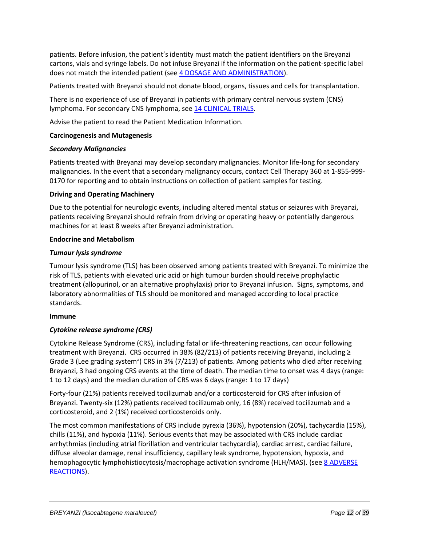patients. Before infusion, the patient's identity must match the patient identifiers on the Breyanzi cartons, vials and syringe labels. Do not infuse Breyanzi if the information on the patient-specific label does not match the intended patient (see [4 DOSAGE AND ADMINISTRATION\)](#page-4-0).

Patients treated with Breyanzi should not donate blood, organs, tissues and cells for transplantation.

There is no experience of use of Breyanzi in patients with primary central nervous system (CNS) lymphoma. For secondary CNS lymphoma, see [14 CLINICAL TRIALS.](#page-27-0)

Advise the patient to read the Patient Medication Information.

### **Carcinogenesis and Mutagenesis**

### *Secondary Malignancies*

Patients treated with Breyanzi may develop secondary malignancies. Monitor life-long for secondary malignancies. In the event that a secondary malignancy occurs, contact Cell Therapy 360 at 1-855-999- 0170 for reporting and to obtain instructions on collection of patient samples for testing.

# **Driving and Operating Machinery**

Due to the potential for neurologic events, including altered mental status or seizures with Breyanzi, patients receiving Breyanzi should refrain from driving or operating heavy or potentially dangerous machines for at least 8 weeks after Breyanzi administration.

### **Endocrine and Metabolism**

# *Tumour lysis syndrome*

Tumour lysis syndrome (TLS) has been observed among patients treated with Breyanzi. To minimize the risk of TLS, patients with elevated uric acid or high tumour burden should receive prophylactic treatment (allopurinol, or an alternative prophylaxis) prior to Breyanzi infusion. Signs, symptoms, and laboratory abnormalities of TLS should be monitored and managed according to local practice standards.

### **Immune**

# *Cytokine release syndrome (CRS)*

Cytokine Release Syndrome (CRS), including fatal or life-threatening reactions, can occur following treatment with Breyanzi. CRS occurred in 38% (82/213) of patients receiving Breyanzi, including ≥ Grade 3 (Lee grading system<sup>a</sup>) CRS in 3% (7/213) of patients. Among patients who died after receiving Breyanzi, 3 had ongoing CRS events at the time of death. The median time to onset was 4 days (range: 1 to 12 days) and the median duration of CRS was 6 days (range: 1 to 17 days)

Forty-four (21%) patients received tocilizumab and/or a corticosteroid for CRS after infusion of Breyanzi. Twenty-six (12%) patients received tocilizumab only, 16 (8%) received tocilizumab and a corticosteroid, and 2 (1%) received corticosteroids only.

The most common manifestations of CRS include pyrexia (36%), hypotension (20%), tachycardia (15%), chills (11%), and hypoxia (11%). Serious events that may be associated with CRS include cardiac arrhythmias (including atrial fibrillation and ventricular tachycardia), cardiac arrest, cardiac failure, diffuse alveolar damage, renal insufficiency, capillary leak syndrome, hypotension, hypoxia, and hemophagocytic lymphohistiocytosis/macrophage activation syndrome (HLH/MAS). (see [8 ADVERSE](#page-18-0)  [REACTIONS\)](#page-18-0).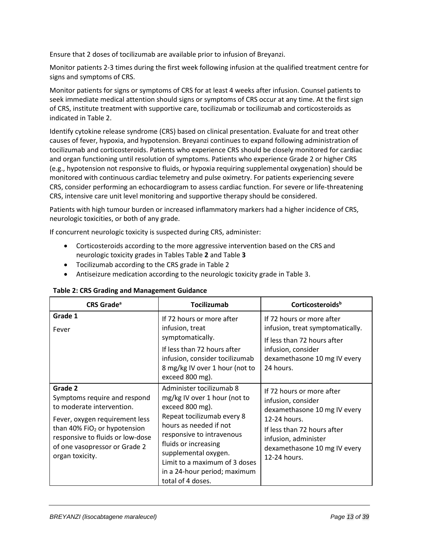Ensure that 2 doses of tocilizumab are available prior to infusion of Breyanzi.

Monitor patients 2-3 times during the first week following infusion at the qualified treatment centre for signs and symptoms of CRS.

Monitor patients for signs or symptoms of CRS for at least 4 weeks after infusion. Counsel patients to seek immediate medical attention should signs or symptoms of CRS occur at any time. At the first sign of CRS, institute treatment with supportive care, tocilizumab or tocilizumab and corticosteroids as indicated i[n Table 2.](#page-12-0)

Identify cytokine release syndrome (CRS) based on clinical presentation. Evaluate for and treat other causes of fever, hypoxia, and hypotension. Breyanzi continues to expand following administration of tocilizumab and corticosteroids. Patients who experience CRS should be closely monitored for cardiac and organ functioning until resolution of symptoms. Patients who experience Grade 2 or higher CRS (e.g., hypotension not responsive to fluids, or hypoxia requiring supplemental oxygenation) should be monitored with continuous cardiac telemetry and pulse oximetry. For patients experiencing severe CRS, consider performing an echocardiogram to assess cardiac function. For severe or life-threatening CRS, intensive care unit level monitoring and supportive therapy should be considered.

Patients with high tumour burden or increased inflammatory markers had a higher incidence of CRS, neurologic toxicities, or both of any grade.

If concurrent neurologic toxicity is suspected during CRS, administer:

- Corticosteroids according to the more aggressive intervention based on the CRS and neurologic toxicity grades in Tables [Table](#page-12-0) **2** and [Table](#page-15-0) **3**
- Tocilizumab according to the CRS grade in [Table 2](#page-12-0)
- Antiseizure medication according to the neurologic toxicity grade in [Table 3.](#page-15-0)

| <b>CRS Grade<sup>a</sup></b>                                                                                                                                                                                                     | Tocilizumab                                                                                                                                                                                                                                                                                            | Corticosteroidsb                                                                                                                                                                                       |
|----------------------------------------------------------------------------------------------------------------------------------------------------------------------------------------------------------------------------------|--------------------------------------------------------------------------------------------------------------------------------------------------------------------------------------------------------------------------------------------------------------------------------------------------------|--------------------------------------------------------------------------------------------------------------------------------------------------------------------------------------------------------|
| Grade 1<br>Fever                                                                                                                                                                                                                 | If 72 hours or more after<br>infusion, treat<br>symptomatically.<br>If less than 72 hours after<br>infusion, consider tocilizumab<br>8 mg/kg IV over 1 hour (not to<br>exceed 800 mg).                                                                                                                 | If 72 hours or more after<br>infusion, treat symptomatically.<br>If less than 72 hours after<br>infusion, consider<br>dexamethasone 10 mg IV every<br>24 hours.                                        |
| Grade 2<br>Symptoms require and respond<br>to moderate intervention.<br>Fever, oxygen requirement less<br>than 40% $FiO2$ or hypotension<br>responsive to fluids or low-dose<br>of one vasopressor or Grade 2<br>organ toxicity. | Administer tocilizumab 8<br>mg/kg IV over 1 hour (not to<br>exceed 800 mg).<br>Repeat tocilizumab every 8<br>hours as needed if not<br>responsive to intravenous<br>fluids or increasing<br>supplemental oxygen.<br>Limit to a maximum of 3 doses<br>in a 24-hour period; maximum<br>total of 4 doses. | If 72 hours or more after<br>infusion, consider<br>dexamethasone 10 mg IV every<br>12-24 hours.<br>If less than 72 hours after<br>infusion, administer<br>dexamethasone 10 mg IV every<br>12-24 hours. |

<span id="page-12-0"></span>

| Table 2: CRS Grading and Management Guidance |  |
|----------------------------------------------|--|
|----------------------------------------------|--|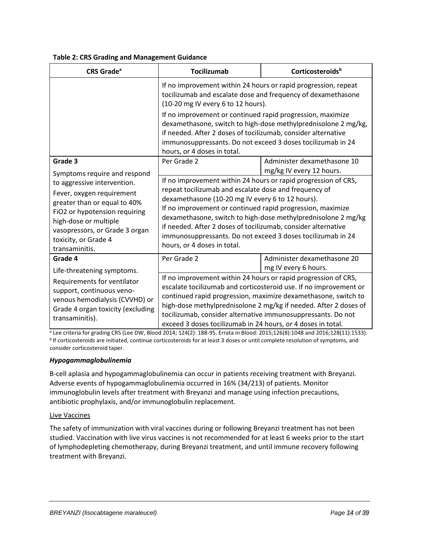| <b>Table 2: CRS Grading and Management Guidance</b> |
|-----------------------------------------------------|
|-----------------------------------------------------|

| <b>CRS Grade<sup>a</sup></b>                                                                                                                                                                                                   | <b>Tocilizumab</b>                                                                                                                                                                                                                                                                                                                                                                                                                                                        | Corticosteroids <sup>b</sup>                            |
|--------------------------------------------------------------------------------------------------------------------------------------------------------------------------------------------------------------------------------|---------------------------------------------------------------------------------------------------------------------------------------------------------------------------------------------------------------------------------------------------------------------------------------------------------------------------------------------------------------------------------------------------------------------------------------------------------------------------|---------------------------------------------------------|
|                                                                                                                                                                                                                                | If no improvement within 24 hours or rapid progression, repeat<br>tocilizumab and escalate dose and frequency of dexamethasone<br>(10-20 mg IV every 6 to 12 hours).<br>If no improvement or continued rapid progression, maximize<br>dexamethasone, switch to high-dose methylprednisolone 2 mg/kg,<br>if needed. After 2 doses of tocilizumab, consider alternative<br>immunosuppressants. Do not exceed 3 doses tocilizumab in 24<br>hours, or 4 doses in total.       |                                                         |
| Grade 3<br>Symptoms require and respond                                                                                                                                                                                        | Per Grade 2                                                                                                                                                                                                                                                                                                                                                                                                                                                               | Administer dexamethasone 10<br>mg/kg IV every 12 hours. |
| to aggressive intervention.<br>Fever, oxygen requirement<br>greater than or equal to 40%<br>FiO2 or hypotension requiring<br>high-dose or multiple<br>vasopressors, or Grade 3 organ<br>toxicity, or Grade 4<br>transaminitis. | If no improvement within 24 hours or rapid progression of CRS,<br>repeat tocilizumab and escalate dose and frequency of<br>dexamethasone (10-20 mg IV every 6 to 12 hours).<br>If no improvement or continued rapid progression, maximize<br>dexamethasone, switch to high-dose methylprednisolone 2 mg/kg<br>if needed. After 2 doses of tocilizumab, consider alternative<br>immunosuppressants. Do not exceed 3 doses tocilizumab in 24<br>hours, or 4 doses in total. |                                                         |
| Grade 4<br>Life-threatening symptoms.                                                                                                                                                                                          | Per Grade 2                                                                                                                                                                                                                                                                                                                                                                                                                                                               | Administer dexamethasone 20<br>mg IV every 6 hours.     |
| Requirements for ventilator<br>support, continuous veno-<br>venous hemodialysis (CVVHD) or<br>Grade 4 organ toxicity (excluding<br>transaminitis).                                                                             | If no improvement within 24 hours or rapid progression of CRS,<br>escalate tocilizumab and corticosteroid use. If no improvement or<br>continued rapid progression, maximize dexamethasone, switch to<br>high-dose methylprednisolone 2 mg/kg if needed. After 2 doses of<br>tocilizumab, consider alternative immunosuppressants. Do not<br>exceed 3 doses tocilizumab in 24 hours, or 4 doses in total.                                                                 |                                                         |

<sup>a</sup> Lee criteria for grading CRS (Lee DW, Blood 2014; 124(2): 188-95. Errata in Blood: 2015;126(8):1048 and 2016;128(11):1533). **bIf corticosteroids are initiated, continue corticosteroids for at least 3 doses or until complete resolution of symptoms, and** consider corticosteroid taper.

# *Hypogammaglobulinemia*

B-cell aplasia and hypogammaglobulinemia can occur in patients receiving treatment with Breyanzi. Adverse events of hypogammaglobulinemia occurred in 16% (34/213) of patients. Monitor immunoglobulin levels after treatment with Breyanzi and manage using infection precautions, antibiotic prophylaxis, and/or immunoglobulin replacement.

# Live Vaccines

The safety of immunization with viral vaccines during or following Breyanzi treatment has not been studied. Vaccination with live virus vaccines is not recommended for at least 6 weeks prior to the start of lymphodepleting chemotherapy, during Breyanzi treatment, and until immune recovery following treatment with Breyanzi.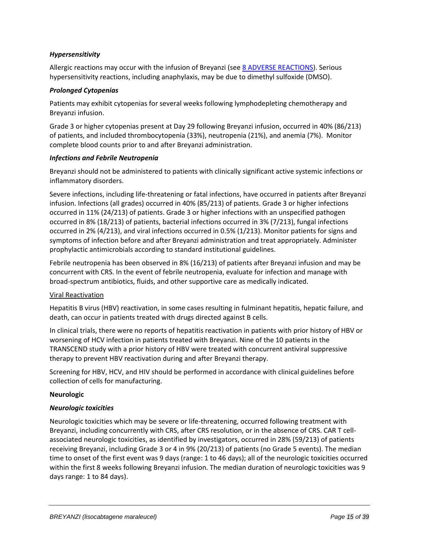# *Hypersensitivity*

Allergic reactions may occur with the infusion of Breyanzi (see [8 ADVERSE REACTIONS\)](#page-18-0). Serious hypersensitivity reactions, including anaphylaxis, may be due to dimethyl sulfoxide (DMSO).

### *Prolonged Cytopenias*

Patients may exhibit cytopenias for several weeks following lymphodepleting chemotherapy and Breyanzi infusion.

Grade 3 or higher cytopenias present at Day 29 following Breyanzi infusion, occurred in 40% (86/213) of patients, and included thrombocytopenia (33%), neutropenia (21%), and anemia (7%). Monitor complete blood counts prior to and after Breyanzi administration.

#### *Infections and Febrile Neutropenia*

Breyanzi should not be administered to patients with clinically significant active systemic infections or inflammatory disorders.

Severe infections, including life-threatening or fatal infections, have occurred in patients after Breyanzi infusion. Infections (all grades) occurred in 40% (85/213) of patients. Grade 3 or higher infections occurred in 11% (24/213) of patients. Grade 3 or higher infections with an unspecified pathogen occurred in 8% (18/213) of patients, bacterial infections occurred in 3% (7/213), fungal infections occurred in 2% (4/213), and viral infections occurred in 0.5% (1/213). Monitor patients for signs and symptoms of infection before and after Breyanzi administration and treat appropriately. Administer prophylactic antimicrobials according to standard institutional guidelines.

Febrile neutropenia has been observed in 8% (16/213) of patients after Breyanzi infusion and may be concurrent with CRS. In the event of febrile neutropenia, evaluate for infection and manage with broad-spectrum antibiotics, fluids, and other supportive care as medically indicated.

### Viral Reactivation

Hepatitis B virus (HBV) reactivation, in some cases resulting in fulminant hepatitis, hepatic failure, and death, can occur in patients treated with drugs directed against B cells.

In clinical trials, there were no reports of hepatitis reactivation in patients with prior history of HBV or worsening of HCV infection in patients treated with Breyanzi. Nine of the 10 patients in the TRANSCEND study with a prior history of HBV were treated with concurrent antiviral suppressive therapy to prevent HBV reactivation during and after Breyanzi therapy.

Screening for HBV, HCV, and HIV should be performed in accordance with clinical guidelines before collection of cells for manufacturing.

### **Neurologic**

### *Neurologic toxicities*

Neurologic toxicities which may be severe or life-threatening, occurred following treatment with Breyanzi, including concurrently with CRS, after CRS resolution, or in the absence of CRS. CAR T cellassociated neurologic toxicities, as identified by investigators, occurred in 28% (59/213) of patients receiving Breyanzi, including Grade 3 or 4 in 9% (20/213) of patients (no Grade 5 events). The median time to onset of the first event was 9 days (range: 1 to 46 days); all of the neurologic toxicities occurred within the first 8 weeks following Breyanzi infusion. The median duration of neurologic toxicities was 9 days range: 1 to 84 days).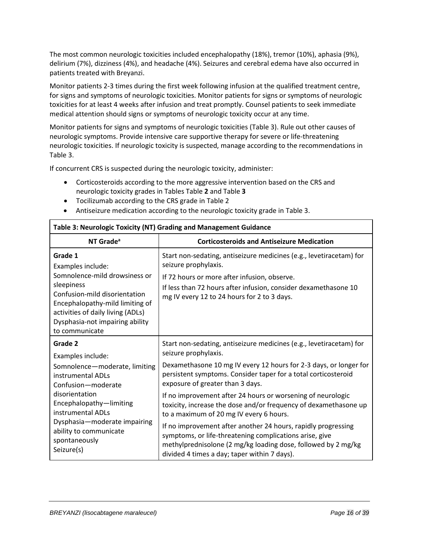The most common neurologic toxicities included encephalopathy (18%), tremor (10%), aphasia (9%), delirium (7%), dizziness (4%), and headache (4%). Seizures and cerebral edema have also occurred in patients treated with Breyanzi.

Monitor patients 2-3 times during the first week following infusion at the qualified treatment centre, for signs and symptoms of neurologic toxicities. Monitor patients for signs or symptoms of neurologic toxicities for at least 4 weeks after infusion and treat promptly. Counsel patients to seek immediate medical attention should signs or symptoms of neurologic toxicity occur at any time.

Monitor patients for signs and symptoms of neurologic toxicities [\(Table 3\)](#page-15-0). Rule out other causes of neurologic symptoms. Provide intensive care supportive therapy for severe or life-threatening neurologic toxicities. If neurologic toxicity is suspected, manage according to the recommendations in [Table 3.](#page-15-0)

If concurrent CRS is suspected during the neurologic toxicity, administer:

- Corticosteroids according to the more aggressive intervention based on the CRS and neurologic toxicity grades in Tables [Table](#page-12-0) **2** and [Table](#page-15-0) **3**
- Tocilizumab according to the CRS grade in [Table 2](#page-12-0)
- Antiseizure medication according to the neurologic toxicity grade i[n Table 3.](#page-15-0)

| Table 5. Neurologic Toxicity (NT) Grading and Management Guidance                                                                                                                                                                         |                                                                                                                                                                                                                                                               |  |  |
|-------------------------------------------------------------------------------------------------------------------------------------------------------------------------------------------------------------------------------------------|---------------------------------------------------------------------------------------------------------------------------------------------------------------------------------------------------------------------------------------------------------------|--|--|
| NT Grade <sup>a</sup>                                                                                                                                                                                                                     | <b>Corticosteroids and Antiseizure Medication</b>                                                                                                                                                                                                             |  |  |
| Grade 1<br>Examples include:<br>Somnolence-mild drowsiness or<br>sleepiness<br>Confusion-mild disorientation<br>Encephalopathy-mild limiting of<br>activities of daily living (ADLs)<br>Dysphasia-not impairing ability<br>to communicate | Start non-sedating, antiseizure medicines (e.g., levetiracetam) for<br>seizure prophylaxis.<br>If 72 hours or more after infusion, observe.<br>If less than 72 hours after infusion, consider dexamethasone 10<br>mg IV every 12 to 24 hours for 2 to 3 days. |  |  |
| Grade 2<br>Examples include:<br>Somnolence-moderate, limiting<br>instrumental ADLs                                                                                                                                                        | Start non-sedating, antiseizure medicines (e.g., levetiracetam) for<br>seizure prophylaxis.<br>Dexamethasone 10 mg IV every 12 hours for 2-3 days, or longer for<br>persistent symptoms. Consider taper for a total corticosteroid                            |  |  |
| Confusion-moderate<br>disorientation                                                                                                                                                                                                      | exposure of greater than 3 days.<br>If no improvement after 24 hours or worsening of neurologic                                                                                                                                                               |  |  |
| Encephalopathy-limiting<br>instrumental ADLs<br>Dysphasia-moderate impairing                                                                                                                                                              | toxicity, increase the dose and/or frequency of dexamethasone up<br>to a maximum of 20 mg IV every 6 hours.                                                                                                                                                   |  |  |
| ability to communicate<br>spontaneously<br>Seizure(s)                                                                                                                                                                                     | If no improvement after another 24 hours, rapidly progressing<br>symptoms, or life-threatening complications arise, give<br>methylprednisolone (2 mg/kg loading dose, followed by 2 mg/kg<br>divided 4 times a day; taper within 7 days).                     |  |  |

# <span id="page-15-0"></span>**Table 3: Neurologic Toxicity (NT) Grading and Management Guidance**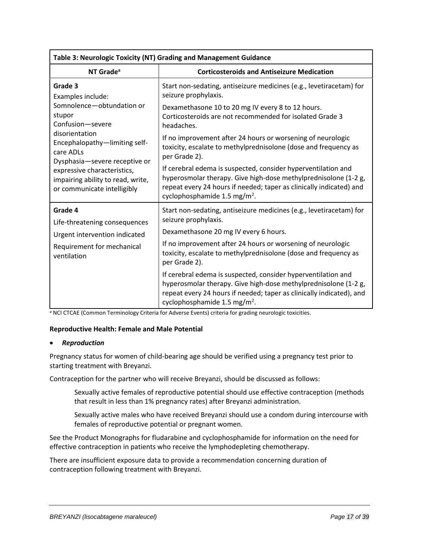| Table 3: Neurologic Toxicity (NT) Grading and Management Guidance                                                                                                                                |                                                                                                                                                                                                                                                      |  |  |
|--------------------------------------------------------------------------------------------------------------------------------------------------------------------------------------------------|------------------------------------------------------------------------------------------------------------------------------------------------------------------------------------------------------------------------------------------------------|--|--|
| NT Grade <sup>a</sup>                                                                                                                                                                            | <b>Corticosteroids and Antiseizure Medication</b>                                                                                                                                                                                                    |  |  |
| Grade 3<br>Examples include:                                                                                                                                                                     | Start non-sedating, antiseizure medicines (e.g., levetiracetam) for<br>seizure prophylaxis.                                                                                                                                                          |  |  |
| Somnolence-obtundation or<br>stupor<br>Confusion-severe                                                                                                                                          | Dexamethasone 10 to 20 mg IV every 8 to 12 hours.<br>Corticosteroids are not recommended for isolated Grade 3<br>headaches.                                                                                                                          |  |  |
| disorientation<br>Encephalopathy-limiting self-<br>care ADLs<br>Dysphasia-severe receptive or<br>expressive characteristics,<br>impairing ability to read, write,<br>or communicate intelligibly | If no improvement after 24 hours or worsening of neurologic<br>toxicity, escalate to methylprednisolone (dose and frequency as<br>per Grade 2).                                                                                                      |  |  |
|                                                                                                                                                                                                  | If cerebral edema is suspected, consider hyperventilation and<br>hyperosmolar therapy. Give high-dose methylprednisolone (1-2 g,<br>repeat every 24 hours if needed; taper as clinically indicated) and<br>cyclophosphamide 1.5 mg/m <sup>2</sup> .  |  |  |
| Grade 4<br>Life-threatening consequences<br>Urgent intervention indicated                                                                                                                        | Start non-sedating, antiseizure medicines (e.g., levetiracetam) for<br>seizure prophylaxis.<br>Dexamethasone 20 mg IV every 6 hours.                                                                                                                 |  |  |
| Requirement for mechanical<br>ventilation                                                                                                                                                        | If no improvement after 24 hours or worsening of neurologic<br>toxicity, escalate to methylprednisolone (dose and frequency as<br>per Grade 2).                                                                                                      |  |  |
|                                                                                                                                                                                                  | If cerebral edema is suspected, consider hyperventilation and<br>hyperosmolar therapy. Give high-dose methylprednisolone (1-2 g,<br>repeat every 24 hours if needed; taper as clinically indicated), and<br>cyclophosphamide 1.5 mg/m <sup>2</sup> . |  |  |

<sup>a</sup> NCI CTCAE (Common Terminology Criteria for Adverse Events) criteria for grading neurologic toxicities.

### **Reproductive Health: Female and Male Potential**

### • *Reproduction*

Pregnancy status for women of child-bearing age should be verified using a pregnancy test prior to starting treatment with Breyanzi.

Contraception for the partner who will receive Breyanzi, should be discussed as follows:

Sexually active females of reproductive potential should use effective contraception (methods that result in less than 1% pregnancy rates) after Breyanzi administration.

Sexually active males who have received Breyanzi should use a condom during intercourse with females of reproductive potential or pregnant women.

See the Product Monographs for fludarabine and cyclophosphamide for information on the need for effective contraception in patients who receive the lymphodepleting chemotherapy.

There are insufficient exposure data to provide a recommendation concerning duration of contraception following treatment with Breyanzi.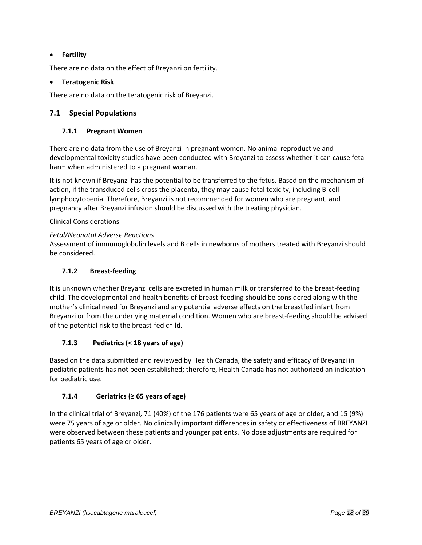# • **Fertility**

There are no data on the effect of Breyanzi on fertility.

# • **Teratogenic Risk**

There are no data on the teratogenic risk of Breyanzi.

# <span id="page-17-1"></span><span id="page-17-0"></span>**7.1 Special Populations**

# **7.1.1 Pregnant Women**

There are no data from the use of Breyanzi in pregnant women. No animal reproductive and developmental toxicity studies have been conducted with Breyanzi to assess whether it can cause fetal harm when administered to a pregnant woman.

It is not known if Breyanzi has the potential to be transferred to the fetus. Based on the mechanism of action, if the transduced cells cross the placenta, they may cause fetal toxicity, including B-cell lymphocytopenia. Therefore, Breyanzi is not recommended for women who are pregnant, and pregnancy after Breyanzi infusion should be discussed with the treating physician.

# Clinical Considerations

# *Fetal/Neonatal Adverse Reactions*

Assessment of immunoglobulin levels and B cells in newborns of mothers treated with Breyanzi should be considered.

# <span id="page-17-2"></span>**7.1.2 Breast-feeding**

It is unknown whether Breyanzi cells are excreted in human milk or transferred to the breast-feeding child. The developmental and health benefits of breast-feeding should be considered along with the mother's clinical need for Breyanzi and any potential adverse effects on the breastfed infant from Breyanzi or from the underlying maternal condition. Women who are breast-feeding should be advised of the potential risk to the breast-fed child.

# <span id="page-17-3"></span>**7.1.3 Pediatrics (< 18 years of age)**

Based on the data submitted and reviewed by Health Canada, the safety and efficacy of Breyanzi in pediatric patients has not been established; therefore, Health Canada has not authorized an indication for pediatric use.

# <span id="page-17-4"></span>**7.1.4 Geriatrics (≥ 65 years of age)**

In the clinical trial of Breyanzi, 71 (40%) of the 176 patients were 65 years of age or older, and 15 (9%) were 75 years of age or older. No clinically important differences in safety or effectiveness of BREYANZI were observed between these patients and younger patients. No dose adjustments are required for patients 65 years of age or older.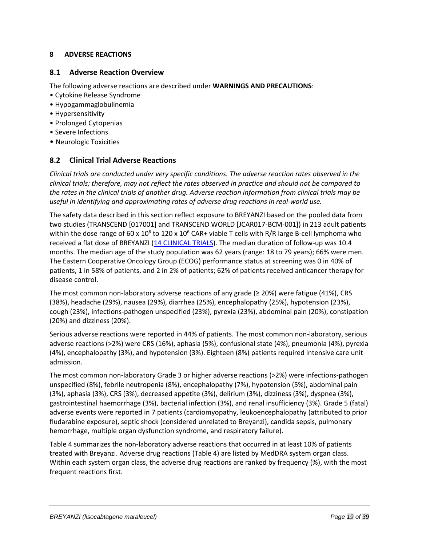# <span id="page-18-0"></span>**8 ADVERSE REACTIONS**

### <span id="page-18-1"></span>**8.1 Adverse Reaction Overview**

The following adverse reactions are described under **WARNINGS AND PRECAUTIONS**:

- Cytokine Release Syndrome
- Hypogammaglobulinemia
- Hypersensitivity
- Prolonged Cytopenias
- Severe Infections
- <span id="page-18-2"></span>• Neurologic Toxicities

# **8.2 Clinical Trial Adverse Reactions**

*Clinical trials are conducted under very specific conditions. The adverse reaction rates observed in the clinical trials; therefore, may not reflect the rates observed in practice and should not be compared to the rates in the clinical trials of another drug. Adverse reaction information from clinical trials may be useful in identifying and approximating rates of adverse drug reactions in real-world use.*

The safety data described in this section reflect exposure to BREYANZI based on the pooled data from two studies (TRANSCEND [017001] and TRANSCEND WORLD [JCAR017-BCM-001]) in 213 adult patients within the dose range of 60 x 10<sup>6</sup> to 120 x 10<sup>6</sup> CAR+ viable T cells with R/R large B-cell lymphoma who received a flat dose of BREYANZI [\(14 CLINICAL TRIALS\)](#page-27-0). The median duration of follow-up was 10.4 months. The median age of the study population was 62 years (range: 18 to 79 years); 66% were men. The Eastern Cooperative Oncology Group (ECOG) performance status at screening was 0 in 40% of patients, 1 in 58% of patients, and 2 in 2% of patients; 62% of patients received anticancer therapy for disease control.

The most common non-laboratory adverse reactions of any grade ( $\geq$  20%) were fatigue (41%), CRS (38%), headache (29%), nausea (29%), diarrhea (25%), encephalopathy (25%), hypotension (23%), cough (23%), infections-pathogen unspecified (23%), pyrexia (23%), abdominal pain (20%), constipation (20%) and dizziness (20%).

Serious adverse reactions were reported in 44% of patients. The most common non-laboratory, serious adverse reactions (>2%) were CRS (16%), aphasia (5%), confusional state (4%), pneumonia (4%), pyrexia (4%), encephalopathy (3%), and hypotension (3%). Eighteen (8%) patients required intensive care unit admission.

The most common non-laboratory Grade 3 or higher adverse reactions (>2%) were infections-pathogen unspecified (8%), febrile neutropenia (8%), encephalopathy (7%), hypotension (5%), abdominal pain (3%), aphasia (3%), CRS (3%), decreased appetite (3%), delirium (3%), dizziness (3%), dyspnea (3%), gastrointestinal haemorrhage (3%), bacterial infection (3%), and renal insufficiency (3%). Grade 5 (fatal) adverse events were reported in 7 patients (cardiomyopathy, leukoencephalopathy (attributed to prior fludarabine exposure), septic shock (considered unrelated to Breyanzi), candida sepsis, pulmonary hemorrhage, multiple organ dysfunction syndrome, and respiratory failure).

[Table 4](#page-19-0) summarizes the non-laboratory adverse reactions that occurred in at least 10% of patients treated with Breyanzi. Adverse drug reactions [\(Table 4\)](#page-19-0) are listed by MedDRA system organ class. Within each system organ class, the adverse drug reactions are ranked by frequency (%), with the most frequent reactions first.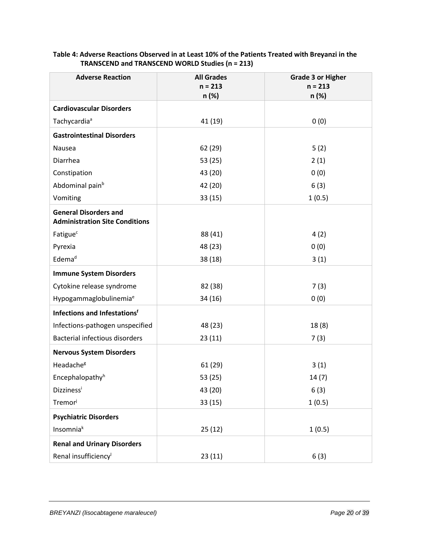| <b>Adverse Reaction</b>                                               | <b>All Grades</b><br>$n = 213$ | <b>Grade 3 or Higher</b><br>$n = 213$ |
|-----------------------------------------------------------------------|--------------------------------|---------------------------------------|
|                                                                       | n (%)                          | n (%)                                 |
| <b>Cardiovascular Disorders</b>                                       |                                |                                       |
| Tachycardia <sup>ª</sup>                                              | 41 (19)                        | 0(0)                                  |
| <b>Gastrointestinal Disorders</b>                                     |                                |                                       |
| Nausea                                                                | 62 (29)                        | 5(2)                                  |
| Diarrhea                                                              | 53 (25)                        | 2(1)                                  |
| Constipation                                                          | 43 (20)                        | 0(0)                                  |
| Abdominal pain <sup>b</sup>                                           | 42 (20)                        | 6(3)                                  |
| Vomiting                                                              | 33(15)                         | 1(0.5)                                |
| <b>General Disorders and</b><br><b>Administration Site Conditions</b> |                                |                                       |
| Fatigue <sup>c</sup>                                                  | 88 (41)                        | 4(2)                                  |
| Pyrexia                                                               | 48 (23)                        | 0(0)                                  |
| Edema <sup>d</sup>                                                    | 38 (18)                        | 3(1)                                  |
| <b>Immune System Disorders</b>                                        |                                |                                       |
| Cytokine release syndrome                                             | 82 (38)                        | 7(3)                                  |
| Hypogammaglobulinemia <sup>e</sup>                                    | 34(16)                         | 0(0)                                  |
| <b>Infections and Infestationsf</b>                                   |                                |                                       |
| Infections-pathogen unspecified                                       | 48 (23)                        | 18(8)                                 |
| <b>Bacterial infectious disorders</b>                                 | 23(11)                         | 7(3)                                  |
| <b>Nervous System Disorders</b>                                       |                                |                                       |
| Headache <sup>g</sup>                                                 | 61 (29)                        | 3(1)                                  |
| Encephalopathy <sup>h</sup>                                           | 53 (25)                        | 14(7)                                 |
| <b>Dizziness</b> i                                                    | 43 (20)                        | 6(3)                                  |
| Tremori                                                               | 33 (15)                        | 1(0.5)                                |
| <b>Psychiatric Disorders</b>                                          |                                |                                       |
| Insomniak                                                             | 25(12)                         | 1(0.5)                                |
| <b>Renal and Urinary Disorders</b>                                    |                                |                                       |
| Renal insufficiency <sup>1</sup>                                      | 23(11)                         | 6(3)                                  |

# <span id="page-19-0"></span>**Table 4: Adverse Reactions Observed in at Least 10% of the Patients Treated with Breyanzi in the TRANSCEND and TRANSCEND WORLD Studies (n = 213)**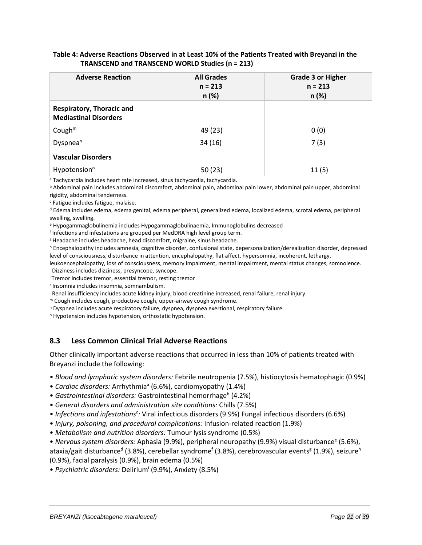| <b>Adverse Reaction</b>                                          | <b>All Grades</b><br>$n = 213$<br>n (%) | <b>Grade 3 or Higher</b><br>$n = 213$<br>n (%) |
|------------------------------------------------------------------|-----------------------------------------|------------------------------------------------|
| <b>Respiratory, Thoracic and</b><br><b>Mediastinal Disorders</b> |                                         |                                                |
| Cough $m$                                                        | 49 (23)                                 | 0(0)                                           |
| Dyspnea <sup>n</sup>                                             | 34(16)                                  | 7(3)                                           |
| <b>Vascular Disorders</b>                                        |                                         |                                                |
| Hypotension <sup>o</sup>                                         | 50 (23)                                 | 11(5)                                          |

### **Table 4: Adverse Reactions Observed in at Least 10% of the Patients Treated with Breyanzi in the TRANSCEND and TRANSCEND WORLD Studies (n = 213)**

<sup>a</sup> Tachycardia includes heart rate increased, sinus tachycardia, tachycardia.

<sup>b</sup> Abdominal pain includes abdominal discomfort, abdominal pain, abdominal pain lower, abdominal pain upper, abdominal rigidity, abdominal tenderness.

<sup>c</sup> Fatigue includes fatigue, malaise.

<sup>d</sup> Edema includes edema, edema genital, edema peripheral, generalized edema, localized edema, scrotal edema, peripheral swelling, swelling.

<sup>e</sup> Hypogammaglobulinemia includes Hypogammaglobulinaemia, Immunoglobulins decreased

f Infections and infestations are grouped per MedDRA high level group term.

<sup>g</sup> Headache includes headache, head discomfort, migraine, sinus headache.

<sup>h</sup> Encephalopathy includes amnesia, cognitive disorder, confusional state, depersonalization/derealization disorder, depressed level of consciousness, disturbance in attention, encephalopathy, flat affect, hypersomnia, incoherent, lethargy,

leukoencephalopathy, loss of consciousness, memory impairment, mental impairment, mental status changes, somnolence. <sup>i</sup> Dizziness includes dizziness, presyncope, syncope.

<sup>j</sup> Tremor includes tremor, essential tremor, resting tremor

k Insomnia includes insomnia, somnambulism.

<sup>l</sup> Renal insufficiency includes acute kidney injury, blood creatinine increased, renal failure, renal injury.

<sup>m</sup> Cough includes cough, productive cough, upper-airway cough syndrome.

<sup>n</sup> Dyspnea includes acute respiratory failure, dyspnea, dyspnea exertional, respiratory failure.

<sup>o</sup> Hypotension includes hypotension, orthostatic hypotension.

# <span id="page-20-0"></span>**8.3 Less Common Clinical Trial Adverse Reactions**

Other clinically important adverse reactions that occurred in less than 10% of patients treated with Breyanzi include the following:

• *Blood and lymphatic system disorders:* Febrile neutropenia (7.5%), histiocytosis hematophagic (0.9%)

• Cardiac disorders: Arrhythmia<sup>a</sup> (6.6%), cardiomyopathy (1.4%)

- Gastrointestinal disorders: Gastrointestinal hemorrhage<sup>b</sup> (4.2%)
- *General disorders and administration site conditions:* Chills (7.5%)
- *Infections and infestations<sup>c</sup> :* Viral infectious disorders (9.9%) Fungal infectious disorders (6.6%)
- *Injury, poisoning, and procedural complications:* Infusion-related reaction (1.9%)
- *Metabolism and nutrition disorders:* Tumour lysis syndrome (0.5%)
- *Nervous system disorders:* Aphasia (9.9%), peripheral neuropathy (9.9%) visual disturbance<sup>e</sup> (5.6%), ataxia/gait disturbance<sup>d</sup> (3.8%), cerebellar syndrome<sup>f</sup> (3.8%), cerebrovascular events<sup>g</sup> (1.9%), seizure<sup>h</sup> (0.9%), facial paralysis (0.9%), brain edema (0.5%)

• *Psychiatric disorders:* Delirium<sup>i</sup> (9.9%), Anxiety (8.5%)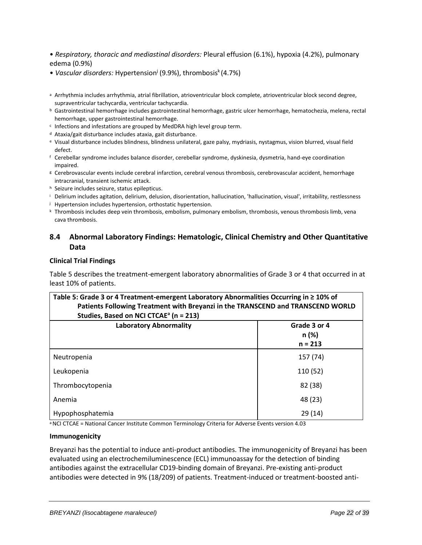• *Respiratory, thoracic and mediastinal disorders:* Pleural effusion (6.1%), hypoxia (4.2%), pulmonary edema (0.9%)

- Vascular disorders: Hypertension<sup>j</sup> (9.9%), thrombosis<sup>k</sup> (4.7%)
- a Arrhythmia includes arrhythmia, atrial fibrillation, atrioventricular block complete, atrioventricular block second degree, supraventricular tachycardia, ventricular tachycardia.
- <sup>b</sup> Gastrointestinal hemorrhage includes gastrointestinal hemorrhage, gastric ulcer hemorrhage, hematochezia, melena, rectal hemorrhage, upper gastrointestinal hemorrhage.
- c Infections and infestations are grouped by MedDRA high level group term.
- <sup>d</sup> Ataxia/gait disturbance includes ataxia, gait disturbance.
- <sup>e</sup> Visual disturbance includes blindness, blindness unilateral, gaze palsy, mydriasis, nystagmus, vision blurred, visual field defect.
- <sup>f</sup> Cerebellar syndrome includes balance disorder, cerebellar syndrome, dyskinesia, dysmetria, hand-eye coordination impaired.
- <sup>g</sup> Cerebrovascular events include cerebral infarction, cerebral venous thrombosis, cerebrovascular accident, hemorrhage intracranial, transient ischemic attack.
- <sup>h</sup> Seizure includes seizure, status epilepticus.
- <sup>i</sup> Delirium includes agitation, delirium, delusion, disorientation, hallucination, 'hallucination, visual', irritability, restlessness
- <sup>j</sup> Hypertension includes hypertension, orthostatic hypertension.
- <sup>k</sup> Thrombosis includes deep vein thrombosis, embolism, pulmonary embolism, thrombosis, venous thrombosis limb, vena cava thrombosis.

# <span id="page-21-0"></span>**8.4 Abnormal Laboratory Findings: Hematologic, Clinical Chemistry and Other Quantitative Data**

#### **Clinical Trial Findings**

[Table 5](#page-21-1) describes the treatment-emergent laboratory abnormalities of Grade 3 or 4 that occurred in at least 10% of patients.

<span id="page-21-1"></span>

| Table 5: Grade 3 or 4 Treatment-emergent Laboratory Abnormalities Occurring in ≥ 10% of |  |  |  |
|-----------------------------------------------------------------------------------------|--|--|--|
| Patients Following Treatment with Breyanzi in the TRANSCEND and TRANSCEND WORLD         |  |  |  |
| Studies, Based on NCI CTCAE <sup>a</sup> (n = 213)                                      |  |  |  |
|                                                                                         |  |  |  |

| <b>Laboratory Abnormality</b> | Grade 3 or 4<br>n (%)<br>$n = 213$ |
|-------------------------------|------------------------------------|
| Neutropenia                   | 157 (74)                           |
| Leukopenia                    | 110 (52)                           |
| Thrombocytopenia              | 82 (38)                            |
| Anemia                        | 48 (23)                            |
| Hypophosphatemia              | 29(14)                             |

a NCI CTCAE = National Cancer Institute Common Terminology Criteria for Adverse Events version 4.03

#### **Immunogenicity**

Breyanzi has the potential to induce anti-product antibodies. The immunogenicity of Breyanzi has been evaluated using an electrochemiluminescence (ECL) immunoassay for the detection of binding antibodies against the extracellular CD19-binding domain of Breyanzi. Pre-existing anti-product antibodies were detected in 9% (18/209) of patients. Treatment-induced or treatment-boosted anti-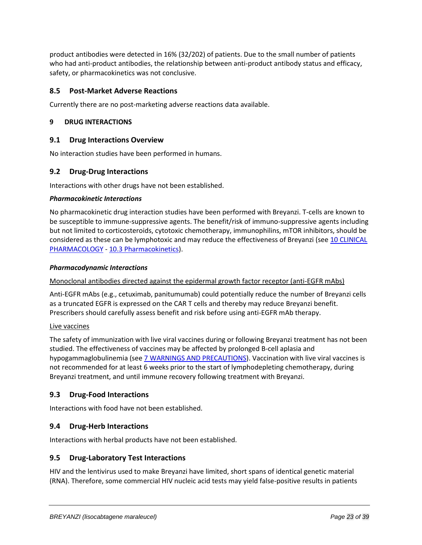product antibodies were detected in 16% (32/202) of patients. Due to the small number of patients who had anti-product antibodies, the relationship between anti-product antibody status and efficacy, safety, or pharmacokinetics was not conclusive.

# <span id="page-22-0"></span>**8.5 Post-Market Adverse Reactions**

Currently there are no post-marketing adverse reactions data available.

### <span id="page-22-1"></span>**9 DRUG INTERACTIONS**

# <span id="page-22-2"></span>**9.1 Drug Interactions Overview**

No interaction studies have been performed in humans.

# <span id="page-22-3"></span>**9.2 Drug-Drug Interactions**

Interactions with other drugs have not been established.

#### *Pharmacokinetic Interactions*

No pharmacokinetic drug interaction studies have been performed with Breyanzi. T-cells are known to be susceptible to immune-suppressive agents. The benefit/risk of immuno-suppressive agents including but not limited to corticosteroids, cytotoxic chemotherapy, immunophilins, mTOR inhibitors, should be considered as these can be lymphotoxic and may reduce the effectiveness of Breyanzi (see [10 CLINICAL](#page-23-0)  [PHARMACOLOGY](#page-23-0) - [10.3 Pharmacokinetics\)](#page-23-3).

#### *Pharmacodynamic Interactions*

### Monoclonal antibodies directed against the epidermal growth factor receptor (anti-EGFR mAbs)

Anti-EGFR mAbs (e.g., cetuximab, panitumumab) could potentially reduce the number of Breyanzi cells as a truncated EGFR is expressed on the CAR T cells and thereby may reduce Breyanzi benefit. Prescribers should carefully assess benefit and risk before using anti-EGFR mAb therapy.

#### Live vaccines

The safety of immunization with live viral vaccines during or following Breyanzi treatment has not been studied. The effectiveness of vaccines may be affected by prolonged B-cell aplasia and hypogammaglobulinemia (see [7 WARNINGS AND PRECAUTIONS\)](#page-10-0). Vaccination with live viral vaccines is not recommended for at least 6 weeks prior to the start of lymphodepleting chemotherapy, during Breyanzi treatment, and until immune recovery following treatment with Breyanzi.

### <span id="page-22-4"></span>**9.3 Drug-Food Interactions**

Interactions with food have not been established.

### <span id="page-22-5"></span>**9.4 Drug-Herb Interactions**

Interactions with herbal products have not been established.

### <span id="page-22-6"></span>**9.5 Drug-Laboratory Test Interactions**

HIV and the lentivirus used to make Breyanzi have limited, short spans of identical genetic material (RNA). Therefore, some commercial HIV nucleic acid tests may yield false-positive results in patients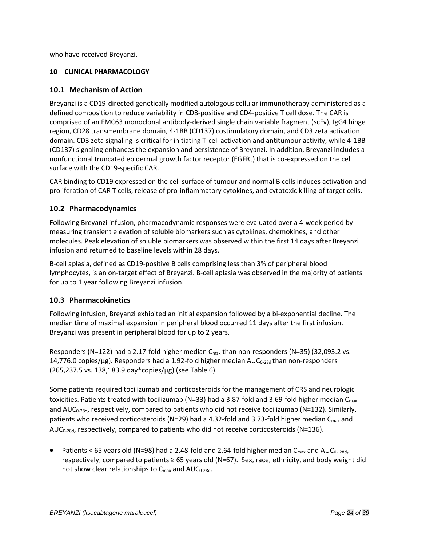who have received Breyanzi.

# <span id="page-23-0"></span>**10 CLINICAL PHARMACOLOGY**

# <span id="page-23-1"></span>**10.1 Mechanism of Action**

Breyanzi is a CD19-directed genetically modified autologous cellular immunotherapy administered as a defined composition to reduce variability in CD8-positive and CD4-positive T cell dose. The CAR is comprised of an FMC63 monoclonal antibody-derived single chain variable fragment (scFv), IgG4 hinge region, CD28 transmembrane domain, 4-1BB (CD137) costimulatory domain, and CD3 zeta activation domain. CD3 zeta signaling is critical for initiating T-cell activation and antitumour activity, while 4-1BB (CD137) signaling enhances the expansion and persistence of Breyanzi. In addition, Breyanzi includes a nonfunctional truncated epidermal growth factor receptor (EGFRt) that is co-expressed on the cell surface with the CD19-specific CAR.

CAR binding to CD19 expressed on the cell surface of tumour and normal B cells induces activation and proliferation of CAR T cells, release of pro-inflammatory cytokines, and cytotoxic killing of target cells.

# <span id="page-23-2"></span>**10.2 Pharmacodynamics**

Following Breyanzi infusion, pharmacodynamic responses were evaluated over a 4-week period by measuring transient elevation of soluble biomarkers such as cytokines, chemokines, and other molecules. Peak elevation of soluble biomarkers was observed within the first 14 days after Breyanzi infusion and returned to baseline levels within 28 days.

B-cell aplasia, defined as CD19-positive B cells comprising less than 3% of peripheral blood lymphocytes, is an on-target effect of Breyanzi. B-cell aplasia was observed in the majority of patients for up to 1 year following Breyanzi infusion.

# <span id="page-23-3"></span>**10.3 Pharmacokinetics**

Following infusion, Breyanzi exhibited an initial expansion followed by a bi-exponential decline. The median time of maximal expansion in peripheral blood occurred 11 days after the first infusion. Breyanzi was present in peripheral blood for up to 2 years.

Responders (N=122) had a 2.17-fold higher median C<sub>max</sub> than non-responders (N=35) (32,093.2 vs. 14,776.0 copies/ $\mu$ g). Responders had a 1.92-fold higher median AUC<sub>0-28d</sub> than non-responders (265,237.5 vs. 138,183.9 day\*copies/µg) (see [Table 6\)](#page-24-1).

Some patients required tocilizumab and corticosteroids for the management of CRS and neurologic toxicities. Patients treated with tocilizumab (N=33) had a 3.87-fold and 3.69-fold higher median  $C_{\text{max}}$ and AUC<sub>0-28d</sub>, respectively, compared to patients who did not receive tocilizumab (N=132). Similarly, patients who received corticosteroids (N=29) had a 4.32-fold and 3.73-fold higher median C<sub>max</sub> and AUC<sub>0-28d</sub>, respectively, compared to patients who did not receive corticosteroids (N=136).

• Patients < 65 years old (N=98) had a 2.48-fold and 2.64-fold higher median  $C_{\text{max}}$  and AU $C_{0}$ - 28d, respectively, compared to patients ≥ 65 years old (N=67). Sex, race, ethnicity, and body weight did not show clear relationships to C<sub>max</sub> and AUC<sub>0-28d</sub>.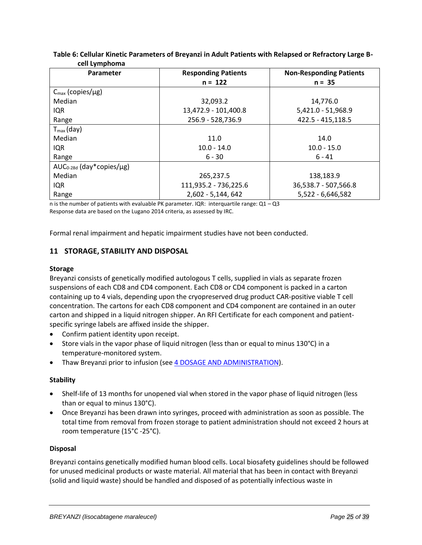| <b>CONTRAINSTRUCTION</b>            |                            |                                |  |  |
|-------------------------------------|----------------------------|--------------------------------|--|--|
| Parameter                           | <b>Responding Patients</b> | <b>Non-Responding Patients</b> |  |  |
|                                     | $n = 122$                  | $n = 35$                       |  |  |
| $C_{\text{max}}$ (copies/µg)        |                            |                                |  |  |
| Median                              | 32,093.2                   | 14,776.0                       |  |  |
| IQR                                 | 13,472.9 - 101,400.8       | 5,421.0 - 51,968.9             |  |  |
| Range                               | 256.9 - 528,736.9          | 422.5 - 415,118.5              |  |  |
| $T_{\text{max}}$ (day)              |                            |                                |  |  |
| Median                              | 11.0                       | 14.0                           |  |  |
| IQR                                 | $10.0 - 14.0$              | $10.0 - 15.0$                  |  |  |
| Range                               | $6 - 30$                   | $6 - 41$                       |  |  |
| $AUC_{0-28d}$ (day*copies/ $\mu$ g) |                            |                                |  |  |
| Median                              | 265,237.5                  | 138,183.9                      |  |  |
| IQR                                 | 111,935.2 - 736,225.6      | 36,538.7 - 507,566.8           |  |  |
| Range                               | 2,602 - 5,144, 642         | 5,522 - 6,646,582              |  |  |

# <span id="page-24-1"></span>**Table 6: Cellular Kinetic Parameters of Breyanzi in Adult Patients with Relapsed or Refractory Large Bcell Lymphoma**

n is the number of patients with evaluable PK parameter. IQR: interquartile range:  $Q1 - Q3$ Response data are based on the Lugano 2014 criteria, as assessed by IRC.

Formal renal impairment and hepatic impairment studies have not been conducted.

# <span id="page-24-0"></span>**11 STORAGE, STABILITY AND DISPOSAL**

# **Storage**

Breyanzi consists of genetically modified autologous T cells, supplied in vials as separate frozen suspensions of each CD8 and CD4 component. Each CD8 or CD4 component is packed in a carton containing up to 4 vials, depending upon the cryopreserved drug product CAR-positive viable T cell concentration. The cartons for each CD8 component and CD4 component are contained in an outer carton and shipped in a liquid nitrogen shipper. An RFI Certificate for each component and patientspecific syringe labels are affixed inside the shipper.

- Confirm patient identity upon receipt.
- Store vials in the vapor phase of liquid nitrogen (less than or equal to minus 130°C) in a temperature-monitored system.
- Thaw Breyanzi prior to infusion (see [4 DOSAGE AND ADMINISTRATION\)](#page-4-0).

### **Stability**

- Shelf-life of 13 months for unopened vial when stored in the vapor phase of liquid nitrogen (less than or equal to minus 130°C).
- Once Breyanzi has been drawn into syringes, proceed with administration as soon as possible. The total time from removal from frozen storage to patient administration should not exceed 2 hours at room temperature (15°C -25°C).

### **Disposal**

Breyanzi contains genetically modified human blood cells. Local biosafety guidelines should be followed for unused medicinal products or waste material. All material that has been in contact with Breyanzi (solid and liquid waste) should be handled and disposed of as potentially infectious waste in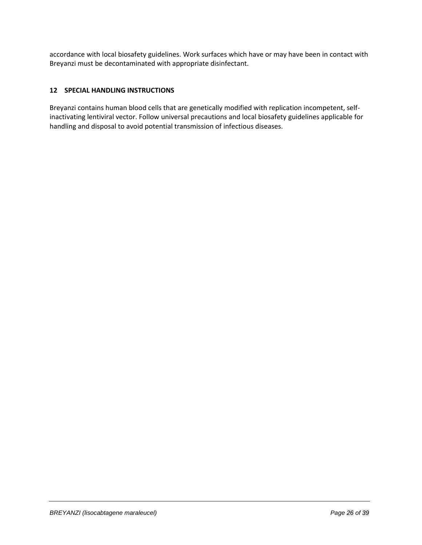accordance with local biosafety guidelines. Work surfaces which have or may have been in contact with Breyanzi must be decontaminated with appropriate disinfectant.

# <span id="page-25-0"></span>**12 SPECIAL HANDLING INSTRUCTIONS**

Breyanzi contains human blood cells that are genetically modified with replication incompetent, selfinactivating lentiviral vector. Follow universal precautions and local biosafety guidelines applicable for handling and disposal to avoid potential transmission of infectious diseases.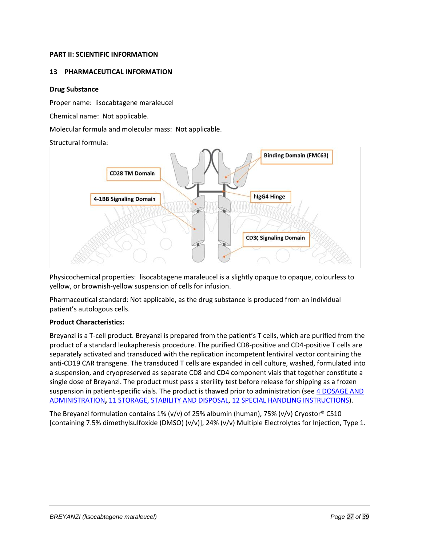### <span id="page-26-0"></span>**PART II: SCIENTIFIC INFORMATION**

### <span id="page-26-1"></span>**13 PHARMACEUTICAL INFORMATION**

### **Drug Substance**

Proper name: lisocabtagene maraleucel

Chemical name: Not applicable.

Molecular formula and molecular mass: Not applicable.

Structural formula:



Physicochemical properties: lisocabtagene maraleucel is a slightly opaque to opaque, colourless to yellow, or brownish-yellow suspension of cells for infusion.

Pharmaceutical standard: Not applicable, as the drug substance is produced from an individual patient's autologous cells.

### **Product Characteristics:**

Breyanzi is a T-cell product. Breyanzi is prepared from the patient's T cells, which are purified from the product of a standard leukapheresis procedure. The purified CD8-positive and CD4-positive T cells are separately activated and transduced with the replication incompetent lentiviral vector containing the anti-CD19 CAR transgene. The transduced T cells are expanded in cell culture, washed, formulated into a suspension, and cryopreserved as separate CD8 and CD4 component vials that together constitute a single dose of Breyanzi. The product must pass a sterility test before release for shipping as a frozen suspension in patient-specific vials. The product is thawed prior to administration (see 4 DOSAGE AND [ADMINISTRATION](#page-4-0)**,** [11 STORAGE, STABILITY AND DISPOSAL,](#page-24-0) [12 SPECIAL HANDLING INSTRUCTIONS\)](#page-25-0).

The Breyanzi formulation contains 1% (v/v) of 25% albumin (human), 75% (v/v) Cryostor® CS10 [containing 7.5% dimethylsulfoxide (DMSO) (v/v)], 24% (v/v) Multiple Electrolytes for Injection, Type 1.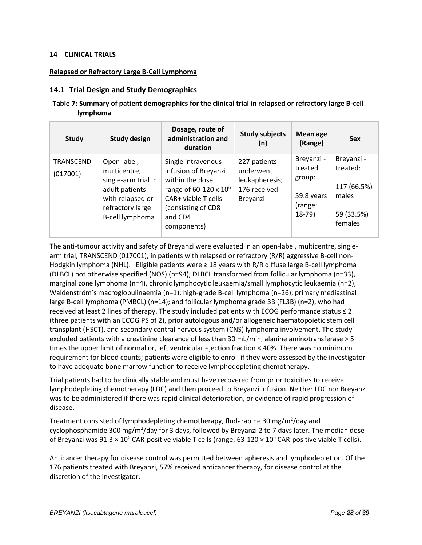### <span id="page-27-0"></span>**14 CLINICAL TRIALS**

# **Relapsed or Refractory Large B-Cell Lymphoma**

# <span id="page-27-1"></span>**14.1 Trial Design and Study Demographics**

# **Table 7: Summary of patient demographics for the clinical trial in relapsed or refractory large B-cell lymphoma**

| <b>Study</b>          | <b>Study design</b>                                                                                                             | Dosage, route of<br>administration and<br>duration                                                                                                                        | <b>Study subjects</b><br>(n)                                            | Mean age<br>(Range)                                                 | <b>Sex</b>                                                              |
|-----------------------|---------------------------------------------------------------------------------------------------------------------------------|---------------------------------------------------------------------------------------------------------------------------------------------------------------------------|-------------------------------------------------------------------------|---------------------------------------------------------------------|-------------------------------------------------------------------------|
| TRANSCEND<br>(017001) | Open-label,<br>multicentre,<br>single-arm trial in<br>adult patients<br>with relapsed or<br>refractory large<br>B-cell lymphoma | Single intravenous<br>infusion of Breyanzi<br>within the dose<br>range of 60-120 x 10 <sup>6</sup><br>CAR+ viable T cells<br>(consisting of CD8<br>and CD4<br>components) | 227 patients<br>underwent<br>leukapheresis;<br>176 received<br>Breyanzi | Breyanzi -<br>treated<br>group:<br>59.8 years<br>(range:<br>$18-79$ | Breyanzi -<br>treated:<br>117 (66.5%)<br>males<br>59 (33.5%)<br>females |

The anti-tumour activity and safety of Breyanzi were evaluated in an open-label, multicentre, singlearm trial, TRANSCEND (017001), in patients with relapsed or refractory (R/R) aggressive B-cell non-Hodgkin lymphoma (NHL). Eligible patients were ≥ 18 years with R/R diffuse large B-cell lymphoma (DLBCL) not otherwise specified (NOS) (n=94); DLBCL transformed from follicular lymphoma (n=33), marginal zone lymphoma (n=4), chronic lymphocytic leukaemia/small lymphocytic leukaemia (n=2), Waldenström's macroglobulinaemia (n=1); high-grade B-cell lymphoma (n=26); primary mediastinal large B-cell lymphoma (PMBCL) (n=14); and follicular lymphoma grade 3B (FL3B) (n=2), who had received at least 2 lines of therapy. The study included patients with ECOG performance status ≤ 2 (three patients with an ECOG PS of 2), prior autologous and/or allogeneic haematopoietic stem cell transplant (HSCT), and secondary central nervous system (CNS) lymphoma involvement. The study excluded patients with a creatinine clearance of less than 30 mL/min, alanine aminotransferase > 5 times the upper limit of normal or, left ventricular ejection fraction < 40%. There was no minimum requirement for blood counts; patients were eligible to enroll if they were assessed by the investigator to have adequate bone marrow function to receive lymphodepleting chemotherapy.

Trial patients had to be clinically stable and must have recovered from prior toxicities to receive lymphodepleting chemotherapy (LDC) and then proceed to Breyanzi infusion. Neither LDC nor Breyanzi was to be administered if there was rapid clinical deterioration, or evidence of rapid progression of disease.

Treatment consisted of lymphodepleting chemotherapy, fludarabine 30 mg/m<sup>2</sup>/day and cyclophosphamide 300 mg/m<sup>2</sup>/day for 3 days, followed by Breyanzi 2 to 7 days later. The median dose of Breyanzi was  $91.3 \times 10^6$  CAR-positive viable T cells (range: 63-120  $\times$  10<sup>6</sup> CAR-positive viable T cells).

Anticancer therapy for disease control was permitted between apheresis and lymphodepletion. Of the 176 patients treated with Breyanzi, 57% received anticancer therapy, for disease control at the discretion of the investigator.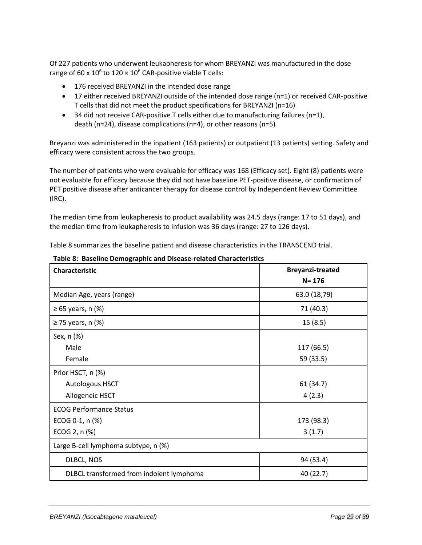Of 227 patients who underwent leukapheresis for whom BREYANZI was manufactured in the dose range of 60 x 10<sup>6</sup> to 120  $\times$  10<sup>6</sup> CAR-positive viable T cells:

- 176 received BREYANZI in the intended dose range
- 17 either received BREYANZI outside of the intended dose range (n=1) or received CAR-positive T cells that did not meet the product specifications for BREYANZI (n=16)
- 34 did not receive CAR-positive T cells either due to manufacturing failures ( $n=1$ ), death (n=24), disease complications (n=4), or other reasons (n=5)

Breyanzi was administered in the inpatient (163 patients) or outpatient (13 patients) setting. Safety and efficacy were consistent across the two groups.

The number of patients who were evaluable for efficacy was 168 (Efficacy set). Eight (8) patients were not evaluable for efficacy because they did not have baseline PET-positive disease, or confirmation of PET positive disease after anticancer therapy for disease control by Independent Review Committee (IRC).

The median time from leukapheresis to product availability was 24.5 days (range: 17 to 51 days), and the median time from leukapheresis to infusion was 36 days (range: 27 to 126 days).

[Table 8](#page-28-0) summarizes the baseline patient and disease characteristics in the TRANSCEND trial.

| Characteristic                           | <b>Breyanzi-treated</b> |  |  |
|------------------------------------------|-------------------------|--|--|
|                                          | $N = 176$               |  |  |
| Median Age, years (range)                | 63.0 (18,79)            |  |  |
| $\geq 65$ years, n (%)                   | 71 (40.3)               |  |  |
| $\geq$ 75 years, n (%)                   | 15(8.5)                 |  |  |
| Sex, n (%)                               |                         |  |  |
| Male                                     | 117 (66.5)              |  |  |
| Female                                   | 59 (33.5)               |  |  |
| Prior HSCT, n (%)                        |                         |  |  |
| <b>Autologous HSCT</b>                   | 61 (34.7)               |  |  |
| 4(2.3)<br>Allogeneic HSCT                |                         |  |  |
| <b>ECOG Performance Status</b>           |                         |  |  |
| ECOG 0-1, n (%)                          | 173 (98.3)              |  |  |
| ECOG 2, n (%)                            | 3(1.7)                  |  |  |
| Large B-cell lymphoma subtype, n (%)     |                         |  |  |
| DLBCL, NOS                               | 94 (53.4)               |  |  |
| DLBCL transformed from indolent lymphoma | 40 (22.7)               |  |  |

<span id="page-28-0"></span>**Table 8: Baseline Demographic and Disease-related Characteristics**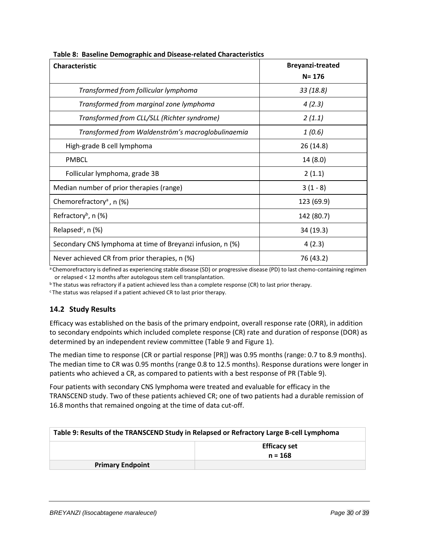| <b>Characteristic</b>                                      | <b>Breyanzi-treated</b> |  |
|------------------------------------------------------------|-------------------------|--|
|                                                            | $N = 176$               |  |
| Transformed from follicular lymphoma                       | 33 (18.8)               |  |
| Transformed from marginal zone lymphoma                    | 4(2.3)                  |  |
| Transformed from CLL/SLL (Richter syndrome)                | 2(1.1)                  |  |
| Transformed from Waldenström's macroglobulinaemia          | 1(0.6)                  |  |
| High-grade B cell lymphoma                                 | 26 (14.8)               |  |
| <b>PMBCL</b>                                               | 14(8.0)                 |  |
| Follicular lymphoma, grade 3B                              | 2(1.1)                  |  |
| Median number of prior therapies (range)                   | $3(1-8)$                |  |
| Chemorefractory <sup>a</sup> , n (%)                       | 123 (69.9)              |  |
| Refractory <sup>b</sup> , n $(%)$                          | 142 (80.7)              |  |
| Relapsed <sup>c</sup> , $n$ (%)                            | 34 (19.3)               |  |
| Secondary CNS lymphoma at time of Breyanzi infusion, n (%) | 4(2.3)                  |  |
| Never achieved CR from prior therapies, n (%)              | 76 (43.2)               |  |

aChemorefractory is defined as experiencing stable disease (SD) or progressive disease (PD) to last chemo-containing regimen or relapsed < 12 months after autologous stem cell transplantation.

<sup>b</sup>The status was refractory if a patient achieved less than a complete response (CR) to last prior therapy.

<span id="page-29-0"></span><sup>c</sup>The status was relapsed if a patient achieved CR to last prior therapy.

# **14.2 Study Results**

Efficacy was established on the basis of the primary endpoint, overall response rate (ORR), in addition to secondary endpoints which included complete response (CR) rate and duration of response (DOR) as determined by an independent review committee [\(Table 9](#page-29-1) an[d Figure](#page-31-3) 1).

The median time to response (CR or partial response [PR]) was 0.95 months (range: 0.7 to 8.9 months). The median time to CR was 0.95 months (range 0.8 to 12.5 months). Response durations were longer in patients who achieved a CR, as compared to patients with a best response of PR [\(Table 9\)](#page-29-1).

Four patients with secondary CNS lymphoma were treated and evaluable for efficacy in the TRANSCEND study. Two of these patients achieved CR; one of two patients had a durable remission of 16.8 months that remained ongoing at the time of data cut-off.

<span id="page-29-1"></span>

| Table 9: Results of the TRANSCEND Study in Relapsed or Refractory Large B-cell Lymphoma |                     |  |
|-----------------------------------------------------------------------------------------|---------------------|--|
|                                                                                         | <b>Efficacy set</b> |  |
|                                                                                         | $n = 168$           |  |
| <b>Primary Endpoint</b>                                                                 |                     |  |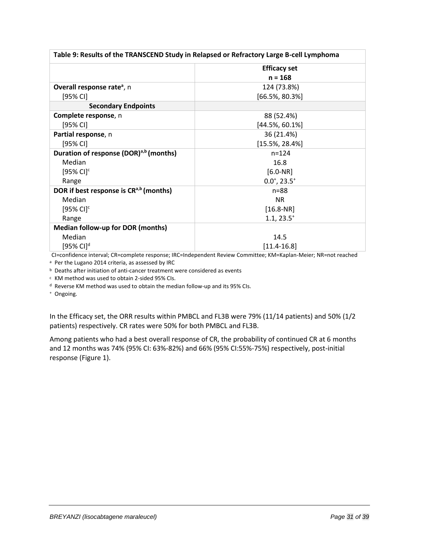| Table 9: Results of the TRANSCEND Study in Relapsed or Refractory Large B-cell Lymphoma |                             |  |
|-----------------------------------------------------------------------------------------|-----------------------------|--|
|                                                                                         | <b>Efficacy set</b>         |  |
|                                                                                         | $n = 168$                   |  |
| Overall response rate <sup>a</sup> , n                                                  | 124 (73.8%)                 |  |
| [95% CI]                                                                                | $[66.5\%, 80.3\%]$          |  |
| <b>Secondary Endpoints</b>                                                              |                             |  |
| Complete response, n                                                                    | 88 (52.4%)                  |  |
| $[95%$ CI]                                                                              | $[44.5\%, 60.1\%]$          |  |
| Partial response, n                                                                     | 36 (21.4%)                  |  |
| $[95%$ CI]                                                                              | $[15.5\%, 28.4\%]$          |  |
| Duration of response (DOR) <sup>a,b</sup> (months)                                      | $n = 124$                   |  |
| Median                                                                                  | 16.8                        |  |
| $[95%$ CI] <sup>c</sup>                                                                 | $[6.0-NR]$                  |  |
| Range                                                                                   | $0.0^{\circ}, 23.5^{\circ}$ |  |
| DOR if best response is CR <sup>a,b</sup> (months)                                      | $n = 88$                    |  |
| Median                                                                                  | <b>NR</b>                   |  |
| $[95%$ CI] <sup>c</sup>                                                                 | $[16.8-NR]$                 |  |
| Range                                                                                   | $1.1, 23.5^{+}$             |  |
| <b>Median follow-up for DOR (months)</b>                                                |                             |  |
| Median                                                                                  | 14.5                        |  |
| $[95%$ CI] <sup>d</sup>                                                                 | $[11.4 - 16.8]$             |  |

CI=confidence interval; CR=complete response; IRC=Independent Review Committee; KM=Kaplan-Meier; NR=not reached

a Per the Lugano 2014 criteria, as assessed by IRC

<sup>b</sup> Deaths after initiation of anti-cancer treatment were considered as events

<sup>c</sup> KM method was used to obtain 2-sided 95% CIs.

<sup>d</sup> Reverse KM method was used to obtain the median follow-up and its 95% CIs.

<sup>+</sup> Ongoing.

In the Efficacy set, the ORR results within PMBCL and FL3B were 79% (11/14 patients) and 50% (1/2 patients) respectively. CR rates were 50% for both PMBCL and FL3B.

Among patients who had a best overall response of CR, the probability of continued CR at 6 months and 12 months was 74% (95% CI: 63%-82%) and 66% (95% CI:55%-75%) respectively, post-initial response [\(Figure](#page-31-3) 1).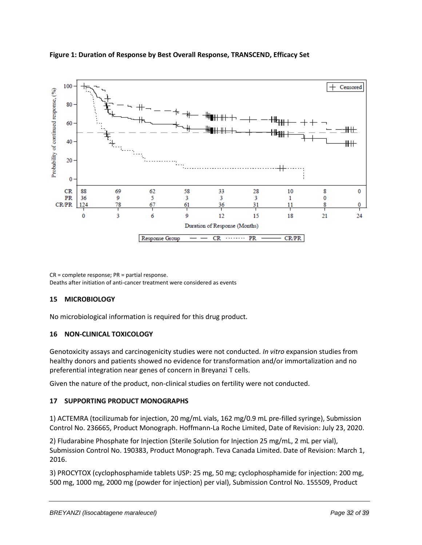

# <span id="page-31-3"></span>**Figure 1: Duration of Response by Best Overall Response, TRANSCEND, Efficacy Set**

CR = complete response; PR = partial response. Deaths after initiation of anti-cancer treatment were considered as events

# <span id="page-31-0"></span>**15 MICROBIOLOGY**

No microbiological information is required for this drug product.

### <span id="page-31-1"></span>**16 NON-CLINICAL TOXICOLOGY**

Genotoxicity assays and carcinogenicity studies were not conducted. *In vitro* expansion studies from healthy donors and patients showed no evidence for transformation and/or immortalization and no preferential integration near genes of concern in Breyanzi T cells.

Given the nature of the product, non-clinical studies on fertility were not conducted.

# <span id="page-31-2"></span>**17 SUPPORTING PRODUCT MONOGRAPHS**

1) ACTEMRA (tocilizumab for injection, 20 mg/mL vials, 162 mg/0.9 mL pre-filled syringe), Submission Control No. 236665, Product Monograph. Hoffmann-La Roche Limited, Date of Revision: July 23, 2020.

2) Fludarabine Phosphate for Injection (Sterile Solution for Injection 25 mg/mL, 2 mL per vial), Submission Control No. 190383, Product Monograph. Teva Canada Limited. Date of Revision: March 1, 2016.

3) PROCYTOX (cyclophosphamide tablets USP: 25 mg, 50 mg; cyclophosphamide for injection: 200 mg, 500 mg, 1000 mg, 2000 mg (powder for injection) per vial), Submission Control No. 155509, Product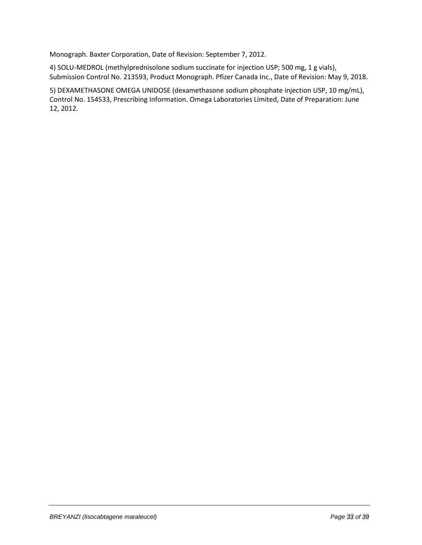Monograph. Baxter Corporation, Date of Revision: September 7, 2012.

4) SOLU-MEDROL (methylprednisolone sodium succinate for injection USP; 500 mg, 1 g vials), Submission Control No. 213593, Product Monograph. Pfizer Canada Inc., Date of Revision: May 9, 2018.

5) DEXAMETHASONE OMEGA UNIDOSE (dexamethasone sodium phosphate injection USP, 10 mg/mL), Control No. 154533, Prescribing Information. Omega Laboratories Limited, Date of Preparation: June 12, 2012.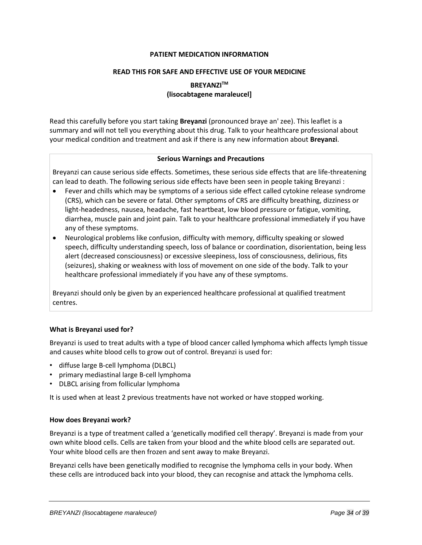#### **PATIENT MEDICATION INFORMATION**

#### <span id="page-33-0"></span>**READ THIS FOR SAFE AND EFFECTIVE USE OF YOUR MEDICINE**

# **BREYANZITM (lisocabtagene maraleucel]**

Read this carefully before you start taking **Breyanzi** (pronounced braye an' zee). This leaflet is a summary and will not tell you everything about this drug. Talk to your healthcare professional about your medical condition and treatment and ask if there is any new information about **Breyanzi**.

#### **Serious Warnings and Precautions**

Breyanzi can cause serious side effects. Sometimes, these serious side effects that are life-threatening can lead to death. The following serious side effects have been seen in people taking Breyanzi :

- Fever and chills which may be symptoms of a serious side effect called cytokine release syndrome (CRS), which can be severe or fatal. Other symptoms of CRS are difficulty breathing, dizziness or light-headedness, nausea, headache, fast heartbeat, low blood pressure or fatigue, vomiting, diarrhea, muscle pain and joint pain. Talk to your healthcare professional immediately if you have any of these symptoms.
- Neurological problems like confusion, difficulty with memory, difficulty speaking or slowed speech, difficulty understanding speech, loss of balance or coordination, disorientation, being less alert (decreased consciousness) or excessive sleepiness, loss of consciousness, delirious, fits (seizures), shaking or weakness with loss of movement on one side of the body. Talk to your healthcare professional immediately if you have any of these symptoms.

Breyanzi should only be given by an experienced healthcare professional at qualified treatment centres.

#### **What is Breyanzi used for?**

Breyanzi is used to treat adults with a type of blood cancer called lymphoma which affects lymph tissue and causes white blood cells to grow out of control. Breyanzi is used for:

- diffuse large B-cell lymphoma (DLBCL)
- primary mediastinal large B-cell lymphoma
- DLBCL arising from follicular lymphoma

It is used when at least 2 previous treatments have not worked or have stopped working.

#### **How does Breyanzi work?**

Breyanzi is a type of treatment called a 'genetically modified cell therapy'. Breyanzi is made from your own white blood cells. Cells are taken from your blood and the white blood cells are separated out. Your white blood cells are then frozen and sent away to make Breyanzi.

Breyanzi cells have been genetically modified to recognise the lymphoma cells in your body. When these cells are introduced back into your blood, they can recognise and attack the lymphoma cells.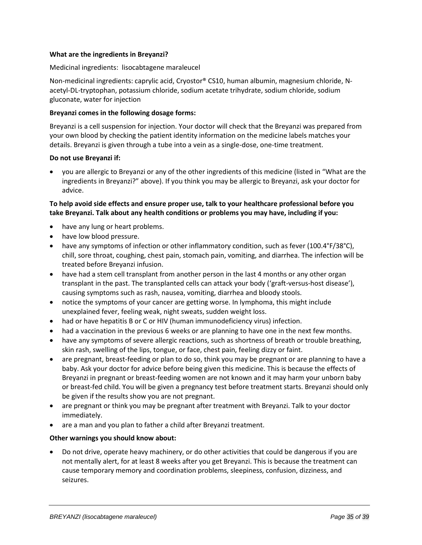#### **What are the ingredients in Breyanzi?**

#### Medicinal ingredients:lisocabtagene maraleucel

Non-medicinal ingredients: caprylic acid, Cryostor® CS10, human albumin, magnesium chloride, Nacetyl-DL-tryptophan, potassium chloride, sodium acetate trihydrate, sodium chloride, sodium gluconate, water for injection

#### **Breyanzi comes in the following dosage forms:**

Breyanzi is a cell suspension for injection. Your doctor will check that the Breyanzi was prepared from your own blood by checking the patient identity information on the medicine labels matches your details. Breyanzi is given through a tube into a vein as a single-dose, one-time treatment.

#### **Do not use Breyanzi if:**

• you are allergic to Breyanzi or any of the other ingredients of this medicine (listed in "What are the ingredients in Breyanzi?" above). If you think you may be allergic to Breyanzi, ask your doctor for advice.

### **To help avoid side effects and ensure proper use, talk to your healthcare professional before you take Breyanzi. Talk about any health conditions or problems you may have, including if you:**

- have any lung or heart problems.
- have low blood pressure.
- have any symptoms of infection or other inflammatory condition, such as fever (100.4°F/38°C), chill, sore throat, coughing, chest pain, stomach pain, vomiting, and diarrhea. The infection will be treated before Breyanzi infusion.
- have had a stem cell transplant from another person in the last 4 months or any other organ transplant in the past. The transplanted cells can attack your body ('graft-versus-host disease'), causing symptoms such as rash, nausea, vomiting, diarrhea and bloody stools.
- notice the symptoms of your cancer are getting worse. In lymphoma, this might include unexplained fever, feeling weak, night sweats, sudden weight loss.
- had or have hepatitis B or C or HIV (human immunodeficiency virus) infection.
- had a vaccination in the previous 6 weeks or are planning to have one in the next few months.
- have any symptoms of severe allergic reactions, such as shortness of breath or trouble breathing, skin rash, swelling of the lips, tongue, or face, chest pain, feeling dizzy or faint.
- are pregnant, breast-feeding or plan to do so, think you may be pregnant or are planning to have a baby. Ask your doctor for advice before being given this medicine. This is because the effects of Breyanzi in pregnant or breast-feeding women are not known and it may harm your unborn baby or breast-fed child. You will be given a pregnancy test before treatment starts. Breyanzi should only be given if the results show you are not pregnant.
- are pregnant or think you may be pregnant after treatment with Breyanzi. Talk to your doctor immediately.
- are a man and you plan to father a child after Breyanzi treatment.

#### **Other warnings you should know about:**

• Do not drive, operate heavy machinery, or do other activities that could be dangerous if you are not mentally alert, for at least 8 weeks after you get Breyanzi. This is because the treatment can cause temporary memory and coordination problems, sleepiness, confusion, dizziness, and seizures.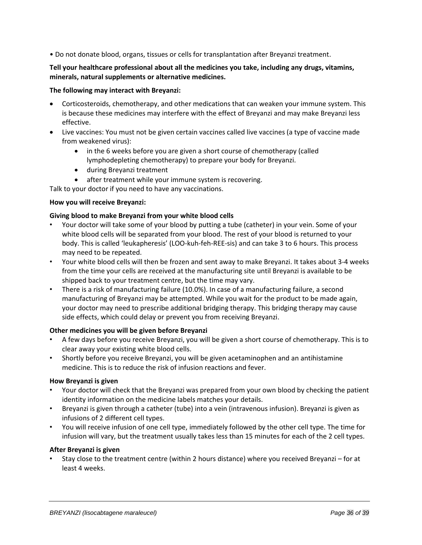• Do not donate blood, organs, tissues or cells for transplantation after Breyanzi treatment.

# **Tell your healthcare professional about all the medicines you take, including any drugs, vitamins, minerals, natural supplements or alternative medicines.**

# **The following may interact with Breyanzi:**

- Corticosteroids, chemotherapy, and other medications that can weaken your immune system. This is because these medicines may interfere with the effect of Breyanzi and may make Breyanzi less effective.
- Live vaccines: You must not be given certain vaccines called live vaccines (a type of vaccine made from weakened virus):
	- in the 6 weeks before you are given a short course of chemotherapy (called lymphodepleting chemotherapy) to prepare your body for Breyanzi.
	- during Breyanzi treatment
	- after treatment while your immune system is recovering.

Talk to your doctor if you need to have any vaccinations.

# **How you will receive Breyanzi:**

# **Giving blood to make Breyanzi from your white blood cells**

- Your doctor will take some of your blood by putting a tube (catheter) in your vein. Some of your white blood cells will be separated from your blood. The rest of your blood is returned to your body. This is called 'leukapheresis' (LOO-kuh-feh-REE-sis) and can take 3 to 6 hours. This process may need to be repeated.
- Your white blood cells will then be frozen and sent away to make Breyanzi. It takes about 3-4 weeks from the time your cells are received at the manufacturing site until Breyanzi is available to be shipped back to your treatment centre, but the time may vary.
- There is a risk of manufacturing failure (10.0%). In case of a manufacturing failure, a second manufacturing of Breyanzi may be attempted. While you wait for the product to be made again, your doctor may need to prescribe additional bridging therapy. This bridging therapy may cause side effects, which could delay or prevent you from receiving Breyanzi.

### **Other medicines you will be given before Breyanzi**

- A few days before you receive Breyanzi, you will be given a short course of chemotherapy. This is to clear away your existing white blood cells.
- Shortly before you receive Breyanzi, you will be given acetaminophen and an antihistamine medicine. This is to reduce the risk of infusion reactions and fever.

### **How Breyanzi is given**

- Your doctor will check that the Breyanzi was prepared from your own blood by checking the patient identity information on the medicine labels matches your details.
- Breyanzi is given through a catheter (tube) into a vein (intravenous infusion). Breyanzi is given as infusions of 2 different cell types.
- You will receive infusion of one cell type, immediately followed by the other cell type. The time for infusion will vary, but the treatment usually takes less than 15 minutes for each of the 2 cell types.

### **After Breyanzi is given**

• Stay close to the treatment centre (within 2 hours distance) where you received Breyanzi – for at least 4 weeks.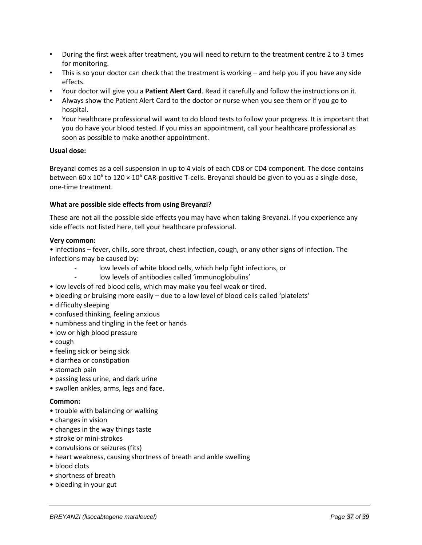- During the first week after treatment, you will need to return to the treatment centre 2 to 3 times for monitoring.
- This is so your doctor can check that the treatment is working and help you if you have any side effects.
- Your doctor will give you a **Patient Alert Card**. Read it carefully and follow the instructions on it.
- Always show the Patient Alert Card to the doctor or nurse when you see them or if you go to hospital.
- Your healthcare professional will want to do blood tests to follow your progress. It is important that you do have your blood tested. If you miss an appointment, call your healthcare professional as soon as possible to make another appointment.

#### **Usual dose:**

Breyanzi comes as a cell suspension in up to 4 vials of each CD8 or CD4 component. The dose contains between 60 x 10<sup>6</sup> to 120 × 10<sup>6</sup> CAR-positive T-cells. Breyanzi should be given to you as a single-dose, one-time treatment.

### **What are possible side effects from using Breyanzi?**

These are not all the possible side effects you may have when taking Breyanzi. If you experience any side effects not listed here, tell your healthcare professional.

#### **Very common:**

• infections – fever, chills, sore throat, chest infection, cough, or any other signs of infection. The infections may be caused by:

- low levels of white blood cells, which help fight infections, or
- low levels of antibodies called 'immunoglobulins'
- low levels of red blood cells, which may make you feel weak or tired.
- bleeding or bruising more easily due to a low level of blood cells called 'platelets'
- difficulty sleeping
- confused thinking, feeling anxious
- numbness and tingling in the feet or hands
- low or high blood pressure
- cough
- feeling sick or being sick
- diarrhea or constipation
- stomach pain
- passing less urine, and dark urine
- swollen ankles, arms, legs and face.

#### **Common:**

- trouble with balancing or walking
- changes in vision
- changes in the way things taste
- stroke or mini-strokes
- convulsions or seizures (fits)
- heart weakness, causing shortness of breath and ankle swelling
- blood clots
- shortness of breath
- bleeding in your gut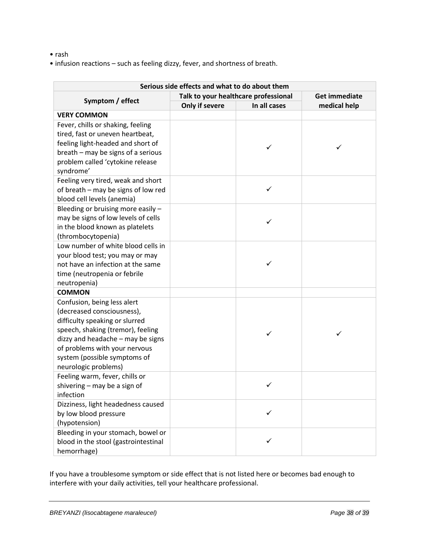- rash
- infusion reactions such as feeling dizzy, fever, and shortness of breath.

| Serious side effects and what to do about them                                                                                                                                                                                                                 |                                      |              |                      |
|----------------------------------------------------------------------------------------------------------------------------------------------------------------------------------------------------------------------------------------------------------------|--------------------------------------|--------------|----------------------|
|                                                                                                                                                                                                                                                                | Talk to your healthcare professional |              | <b>Get immediate</b> |
| Symptom / effect                                                                                                                                                                                                                                               | Only if severe                       | In all cases | medical help         |
| <b>VERY COMMON</b>                                                                                                                                                                                                                                             |                                      |              |                      |
| Fever, chills or shaking, feeling<br>tired, fast or uneven heartbeat,<br>feeling light-headed and short of<br>breath - may be signs of a serious<br>problem called 'cytokine release                                                                           |                                      | ✓            | ✓                    |
| syndrome'                                                                                                                                                                                                                                                      |                                      |              |                      |
| Feeling very tired, weak and short<br>of breath - may be signs of low red<br>blood cell levels (anemia)                                                                                                                                                        |                                      | ✓            |                      |
| Bleeding or bruising more easily -<br>may be signs of low levels of cells<br>in the blood known as platelets<br>(thrombocytopenia)                                                                                                                             |                                      | ✓            |                      |
| Low number of white blood cells in<br>your blood test; you may or may<br>not have an infection at the same<br>time (neutropenia or febrile<br>neutropenia)                                                                                                     |                                      |              |                      |
| <b>COMMON</b>                                                                                                                                                                                                                                                  |                                      |              |                      |
| Confusion, being less alert<br>(decreased consciousness),<br>difficulty speaking or slurred<br>speech, shaking (tremor), feeling<br>dizzy and headache - may be signs<br>of problems with your nervous<br>system (possible symptoms of<br>neurologic problems) |                                      | ✓            | ✓                    |
| Feeling warm, fever, chills or<br>shivering – may be a sign of<br>infection                                                                                                                                                                                    |                                      | ✓            |                      |
| Dizziness, light headedness caused<br>by low blood pressure<br>(hypotension)                                                                                                                                                                                   |                                      | ✓            |                      |
| Bleeding in your stomach, bowel or<br>blood in the stool (gastrointestinal<br>hemorrhage)                                                                                                                                                                      |                                      | ✓            |                      |

If you have a troublesome symptom or side effect that is not listed here or becomes bad enough to interfere with your daily activities, tell your healthcare professional.